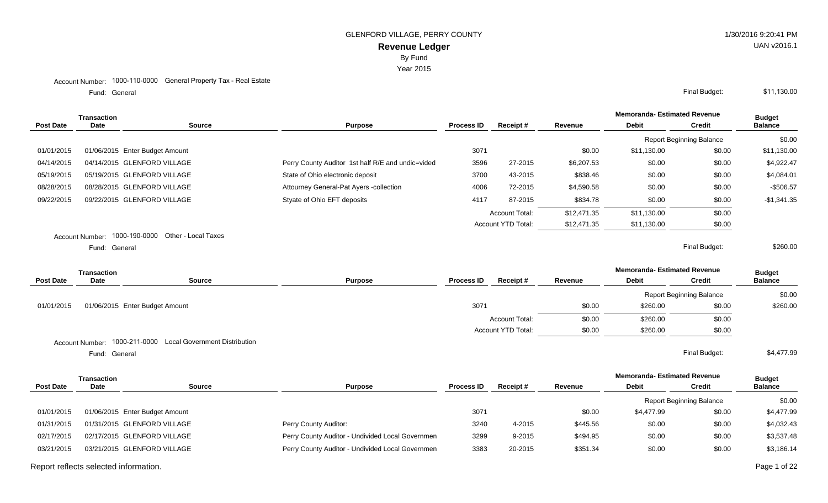Year 2015

#### Account Number: 1000-110-0000 General Property Tax - Real Estate

Fund: General

| <b>Transaction</b> |               |                                                   |                                                   |      |                           |             | <b>Memoranda-Estimated Revenue</b> |                                 | <b>Budget</b>  |
|--------------------|---------------|---------------------------------------------------|---------------------------------------------------|------|---------------------------|-------------|------------------------------------|---------------------------------|----------------|
| <b>Post Date</b>   | <b>Date</b>   | <b>Source</b>                                     | <b>Process ID</b><br><b>Purpose</b>               |      | Receipt#                  | Revenue     | <b>Debit</b>                       | <b>Credit</b>                   | <b>Balance</b> |
|                    |               |                                                   |                                                   |      |                           |             |                                    | <b>Report Beginning Balance</b> | \$0.00         |
| 01/01/2015         |               | 01/06/2015 Enter Budget Amount                    |                                                   | 3071 |                           | \$0.00      | \$11,130.00                        | \$0.00                          | \$11,130.00    |
| 04/14/2015         |               | 04/14/2015 GLENFORD VILLAGE                       | Perry County Auditor 1st half R/E and undic=vided | 3596 | 27-2015                   | \$6,207.53  | \$0.00                             | \$0.00                          | \$4,922.47     |
| 05/19/2015         |               | 05/19/2015 GLENFORD VILLAGE                       | State of Ohio electronic deposit                  | 3700 | 43-2015                   | \$838.46    | \$0.00                             | \$0.00                          | \$4,084.01     |
| 08/28/2015         |               | 08/28/2015 GLENFORD VILLAGE                       | Attourney General-Pat Ayers -collection           | 4006 | 72-2015                   | \$4,590.58  | \$0.00                             | \$0.00                          | $-$506.57$     |
| 09/22/2015         |               | 09/22/2015 GLENFORD VILLAGE                       | Styate of Ohio EFT deposits                       | 4117 | 87-2015                   | \$834.78    | \$0.00                             | \$0.00                          | $-$1,341.35$   |
|                    |               |                                                   |                                                   |      | <b>Account Total:</b>     | \$12,471.35 | \$11.130.00                        | \$0.00                          |                |
|                    |               |                                                   |                                                   |      | <b>Account YTD Total:</b> | \$12,471.35 | \$11,130.00                        | \$0.00                          |                |
|                    |               | Account Number: 1000-190-0000 Other - Local Taxes |                                                   |      |                           |             |                                    |                                 |                |
|                    | Fund: General |                                                   |                                                   |      |                           |             |                                    | Final Budget:                   | \$260.00       |

**Memoranda- Estimated Revenue Source Purpose Process ID Receipt # Revenue Debit Transaction Post Date Date Budget Credit Balance** Report Beginning Balance \$0.00 01/01/2015 01/06/2015 Enter Budget Amount 2002 10:00 \$260.00 \$260.00 \$260.00 \$260.00 \$260.00 \$260.00 \$260.00 Account Total:  $$0.00$  \$260.00 \$0.00 Account YTD Total:  $$0.00$  \$260.00 \$0.00 Account Number: 1000-211-0000 Local Government Distribution

Fund: General

General Final Budget: \$4,477.99

|             |             |                                                                                                                             |                   |          |          | <b>Memoranda- Estimated Revenue</b> |               | <b>Budget</b>                   |
|-------------|-------------|-----------------------------------------------------------------------------------------------------------------------------|-------------------|----------|----------|-------------------------------------|---------------|---------------------------------|
| <b>Date</b> | Source      | <b>Purpose</b>                                                                                                              | <b>Process ID</b> | Receipt# | Revenue  | <b>Debit</b>                        | <b>Credit</b> | <b>Balance</b>                  |
|             |             |                                                                                                                             |                   |          |          |                                     |               | \$0.00                          |
|             |             |                                                                                                                             | 3071              |          | \$0.00   | \$4.477.99                          | \$0.00        | \$4,477.99                      |
|             |             | Perry County Auditor:                                                                                                       | 3240              | 4-2015   | \$445.56 | \$0.00                              | \$0.00        | \$4,032.43                      |
|             |             | Perry County Auditor - Undivided Local Governmen                                                                            | 3299              | 9-2015   | \$494.95 | \$0.00                              | \$0.00        | \$3,537.48                      |
|             |             | Perry County Auditor - Undivided Local Governmen                                                                            | 3383              | 20-2015  | \$351.34 | \$0.00                              | \$0.00        | \$3,186.14                      |
|             | Transaction | 01/06/2015 Enter Budget Amount<br>01/31/2015 GLENFORD VILLAGE<br>02/17/2015 GLENFORD VILLAGE<br>03/21/2015 GLENFORD VILLAGE |                   |          |          |                                     |               | <b>Report Beginning Balance</b> |

Report reflects selected information. Page 1 of 22

# UAN v2016.1

General Final Budget: \$11,130.00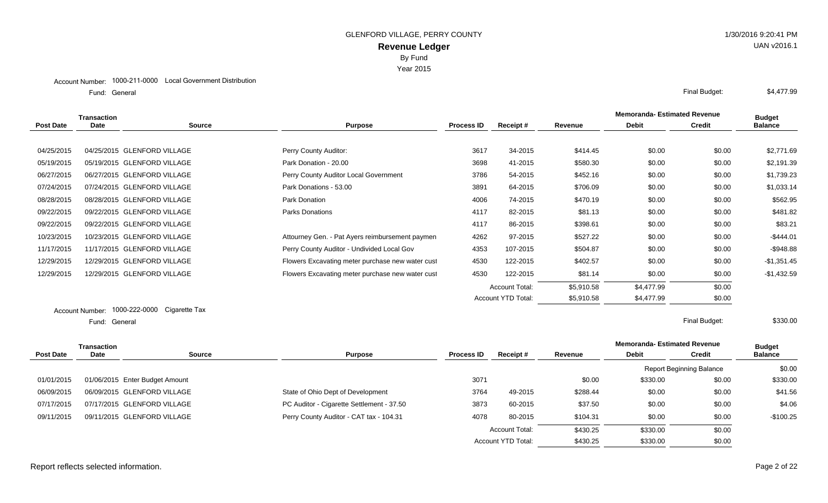Year 2015

#### Account Number: 1000-211-0000 Local Government Distribution

Fund: General

| Transaction |      |                             |                                                  |                   |                       |            | <b>Memoranda-Estimated Revenue</b> |               | <b>Budget</b>  |
|-------------|------|-----------------------------|--------------------------------------------------|-------------------|-----------------------|------------|------------------------------------|---------------|----------------|
| Post Date   | Date | <b>Source</b>               | <b>Purpose</b>                                   | <b>Process ID</b> | Receipt #             | Revenue    | <b>Debit</b>                       | <b>Credit</b> | <b>Balance</b> |
|             |      |                             |                                                  |                   |                       |            |                                    |               |                |
| 04/25/2015  |      | 04/25/2015 GLENFORD VILLAGE | Perry County Auditor:                            | 3617              | 34-2015               | \$414.45   | \$0.00                             | \$0.00        | \$2,771.69     |
| 05/19/2015  |      | 05/19/2015 GLENFORD VILLAGE | Park Donation - 20.00                            | 3698              | 41-2015               | \$580.30   | \$0.00                             | \$0.00        | \$2,191.39     |
| 06/27/2015  |      | 06/27/2015 GLENFORD VILLAGE | Perry County Auditor Local Government            | 3786              | 54-2015               | \$452.16   | \$0.00                             | \$0.00        | \$1,739.23     |
| 07/24/2015  |      | 07/24/2015 GLENFORD VILLAGE | Park Donations - 53.00                           | 3891              | 64-2015               | \$706.09   | \$0.00                             | \$0.00        | \$1,033.14     |
| 08/28/2015  |      | 08/28/2015 GLENFORD VILLAGE | Park Donation                                    | 4006              | 74-2015               | \$470.19   | \$0.00                             | \$0.00        | \$562.95       |
| 09/22/2015  |      | 09/22/2015 GLENFORD VILLAGE | <b>Parks Donations</b>                           | 4117              | 82-2015               | \$81.13    | \$0.00                             | \$0.00        | \$481.82       |
| 09/22/2015  |      | 09/22/2015 GLENFORD VILLAGE |                                                  | 4117              | 86-2015               | \$398.61   | \$0.00                             | \$0.00        | \$83.21        |
| 10/23/2015  |      | 10/23/2015 GLENFORD VILLAGE | Attourney Gen. - Pat Ayers reimbursement paymen  | 4262              | 97-2015               | \$527.22   | \$0.00                             | \$0.00        | $-$444.01$     |
| 11/17/2015  |      | 11/17/2015 GLENFORD VILLAGE | Perry County Auditor - Undivided Local Gov       | 4353              | 107-2015              | \$504.87   | \$0.00                             | \$0.00        | $-$948.88$     |
| 12/29/2015  |      | 12/29/2015 GLENFORD VILLAGE | Flowers Excavating meter purchase new water cust | 4530              | 122-2015              | \$402.57   | \$0.00                             | \$0.00        | $-$1,351.45$   |
| 12/29/2015  |      | 12/29/2015 GLENFORD VILLAGE | Flowers Excavating meter purchase new water cust | 4530              | 122-2015              | \$81.14    | \$0.00                             | \$0.00        | $-$1,432.59$   |
|             |      |                             |                                                  |                   | <b>Account Total:</b> | \$5,910.58 | \$4,477.99                         | \$0.00        |                |
|             |      |                             |                                                  |                   | Account YTD Total:    | \$5,910.58 | \$4,477.99                         | \$0.00        |                |

#### Account Number: 1000-222-0000 Cigarette Tax General Final Budget: Fund: General

|                  | Transaction |                                |                                           |                   |                       |          | <b>Memoranda- Estimated Revenue</b> |                          | <b>Budget</b>  |
|------------------|-------------|--------------------------------|-------------------------------------------|-------------------|-----------------------|----------|-------------------------------------|--------------------------|----------------|
| <b>Post Date</b> | <b>Date</b> | <b>Source</b>                  | <b>Purpose</b>                            | <b>Process ID</b> | Receipt#              | Revenue  | <b>Debit</b>                        | <b>Credit</b>            | <b>Balance</b> |
|                  |             |                                |                                           |                   |                       |          |                                     | Report Beginning Balance | \$0.00         |
| 01/01/2015       |             | 01/06/2015 Enter Budget Amount |                                           | 3071              |                       | \$0.00   | \$330.00                            | \$0.00                   | \$330.00       |
| 06/09/2015       |             | 06/09/2015 GLENFORD VILLAGE    | State of Ohio Dept of Development         | 3764              | 49-2015               | \$288.44 | \$0.00                              | \$0.00                   | \$41.56        |
| 07/17/2015       |             | 07/17/2015 GLENFORD VILLAGE    | PC Auditor - Cigarette Settlement - 37.50 | 3873              | 60-2015               | \$37.50  | \$0.00                              | \$0.00                   | \$4.06         |
| 09/11/2015       |             | 09/11/2015 GLENFORD VILLAGE    | Perry County Auditor - CAT tax - 104.31   | 4078              | 80-2015               | \$104.31 | \$0.00                              | \$0.00                   | $-$100.25$     |
|                  |             |                                |                                           |                   | <b>Account Total:</b> | \$430.25 | \$330.00                            | \$0.00                   |                |
|                  |             |                                |                                           |                   | Account YTD Total:    | \$430.25 | \$330.00                            | \$0.00                   |                |

## Report reflects selected information. Page 2 of 22

\$330.00

General Final Budget: \$4,477.99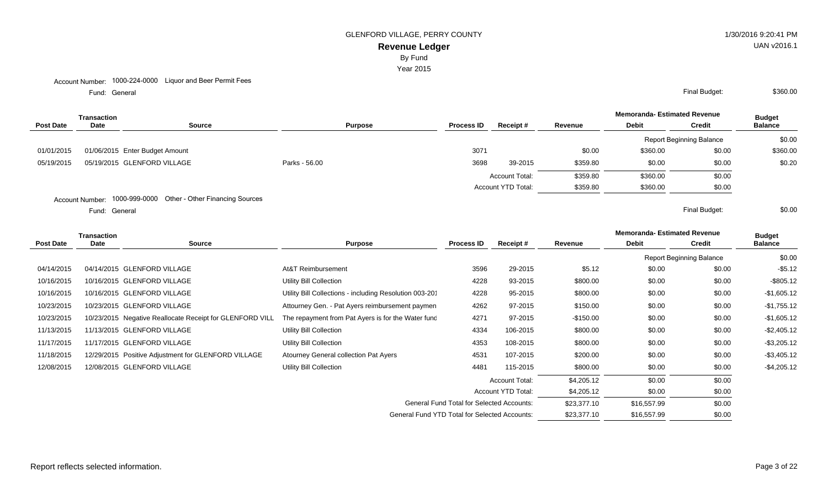By Fund

Year 2015

Fund: General

|                  | Transaction |                                              |               |                                     |      | <b>Memoranda- Estimated Revenue</b> |          | <b>Budget</b> |                                 |                |
|------------------|-------------|----------------------------------------------|---------------|-------------------------------------|------|-------------------------------------|----------|---------------|---------------------------------|----------------|
| <b>Post Date</b> | Date        | <b>Source</b>                                |               | <b>Process ID</b><br><b>Purpose</b> |      | Receipt#                            | Revenue  | <b>Debit</b>  | <b>Credit</b>                   | <b>Balance</b> |
|                  |             |                                              |               |                                     |      |                                     |          |               | <b>Report Beginning Balance</b> | \$0.00         |
| 01/01/2015       |             | 01/06/2015 Enter Budget Amount               |               |                                     | 3071 |                                     | \$0.00   | \$360.00      | \$0.00                          | \$360.00       |
| 05/19/2015       |             | 05/19/2015 GLENFORD VILLAGE                  | Parks - 56.00 |                                     | 3698 | 39-2015                             | \$359.80 | \$0.00        | \$0.00                          | \$0.20         |
|                  |             |                                              |               |                                     |      | <b>Account Total:</b>               | \$359.80 | \$360.00      | \$0.00                          |                |
|                  |             |                                              |               |                                     |      | <b>Account YTD Total:</b>           | \$359.80 | \$360.00      | \$0.00                          |                |
|                  |             | $\sim$ $\sim$ $\sim$ $\sim$<br>$\sim$ $\sim$ |               |                                     |      |                                     |          |               |                                 |                |

Account Number: 1000-999-0000 Other - Other Financing Sources

Fund: General

|                  | Transaction |                                                          |                                                        |                                                  |                       |             | <b>Memoranda-Estimated Revenue</b> |                                 | <b>Budget</b>  |
|------------------|-------------|----------------------------------------------------------|--------------------------------------------------------|--------------------------------------------------|-----------------------|-------------|------------------------------------|---------------------------------|----------------|
| <b>Post Date</b> | Date        | <b>Source</b>                                            | <b>Purpose</b>                                         | <b>Process ID</b>                                | Receipt#              | Revenue     | <b>Debit</b>                       | <b>Credit</b>                   | <b>Balance</b> |
|                  |             |                                                          |                                                        |                                                  |                       |             |                                    | <b>Report Beginning Balance</b> | \$0.00         |
| 04/14/2015       |             | 04/14/2015 GLENFORD VILLAGE                              | At&T Reimbursement                                     | 3596                                             | 29-2015               | \$5.12      | \$0.00                             | \$0.00                          | $-$5.12$       |
| 10/16/2015       |             | 10/16/2015 GLENFORD VILLAGE                              | Utility Bill Collection                                | 4228                                             | 93-2015               | \$800.00    | \$0.00                             | \$0.00                          | $-$ \$805.12   |
| 10/16/2015       |             | 10/16/2015 GLENFORD VILLAGE                              | Utility Bill Collections - including Resolution 003-20 | 4228                                             | 95-2015               | \$800.00    | \$0.00                             | \$0.00                          | $-$1,605.12$   |
| 10/23/2015       |             | 10/23/2015 GLENFORD VILLAGE                              | Attourney Gen. - Pat Ayers reimbursement paymen        | 4262                                             | 97-2015               | \$150.00    | \$0.00                             | \$0.00                          | $-$1,755.12$   |
| 10/23/2015       |             | 10/23/2015 Negative Reallocate Receipt for GLENFORD VILL | The repayment from Pat Ayers is for the Water func     | 4271                                             | 97-2015               | -\$150.00   | \$0.00                             | \$0.00                          | $-$1,605.12$   |
| 11/13/2015       |             | 11/13/2015 GLENFORD VILLAGE                              | Utility Bill Collection                                | 4334                                             | 106-2015              | \$800.00    | \$0.00                             | \$0.00                          | $-$2,405.12$   |
| 11/17/2015       |             | 11/17/2015 GLENFORD VILLAGE                              | Utility Bill Collection                                | 4353                                             | 108-2015              | \$800.00    | \$0.00                             | \$0.00                          | $-$ \$3,205.12 |
| 11/18/2015       |             | 12/29/2015 Positive Adjustment for GLENFORD VILLAGE      | Atourney General collection Pat Ayers                  | 4531                                             | 107-2015              | \$200.00    | \$0.00                             | \$0.00                          | $-$3,405.12$   |
| 12/08/2015       |             | 12/08/2015 GLENFORD VILLAGE                              | Utility Bill Collection                                | 4481                                             | 115-2015              | \$800.00    | \$0.00                             | \$0.00                          | $-$4,205.12$   |
|                  |             |                                                          |                                                        |                                                  | <b>Account Total:</b> | \$4,205.12  | \$0.00                             | \$0.00                          |                |
|                  |             |                                                          |                                                        |                                                  | Account YTD Total:    | \$4,205.12  | \$0.00                             | \$0.00                          |                |
|                  |             |                                                          |                                                        | <b>General Fund Total for Selected Accounts:</b> |                       | \$23,377.10 | \$16,557.99                        | \$0.00                          |                |
|                  |             |                                                          | <b>General Fund YTD Total for Selected Accounts:</b>   |                                                  |                       | \$23,377.10 | \$16,557.99                        | \$0.00                          |                |

General Final Budget: \$360.00

General Final Budget: \$0.00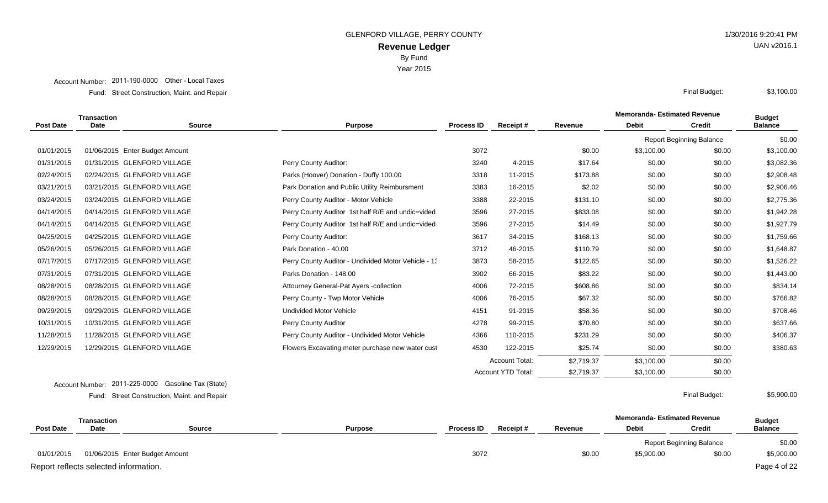Year 2015

#### Account Number: 2011-190-0000 Other - Local Taxes

Street Construction, Maint. and Repair Final Budget: Fund:

|                  | <b>Transaction</b> |                                |                                                     |                   |                           |            | <b>Memoranda-Estimated Revenue</b> |                                 | <b>Budget</b>  |
|------------------|--------------------|--------------------------------|-----------------------------------------------------|-------------------|---------------------------|------------|------------------------------------|---------------------------------|----------------|
| <b>Post Date</b> | Date               | <b>Source</b>                  | <b>Purpose</b>                                      | <b>Process ID</b> | Receipt#                  | Revenue    | <b>Debit</b>                       | <b>Credit</b>                   | <b>Balance</b> |
|                  |                    |                                |                                                     |                   |                           |            |                                    | <b>Report Beginning Balance</b> | \$0.00         |
| 01/01/2015       |                    | 01/06/2015 Enter Budget Amount |                                                     | 3072              |                           | \$0.00     | \$3,100.00                         | \$0.00                          | \$3,100.00     |
| 01/31/2015       |                    | 01/31/2015 GLENFORD VILLAGE    | Perry County Auditor:                               | 3240              | 4-2015                    | \$17.64    | \$0.00                             | \$0.00                          | \$3,082.36     |
| 02/24/2015       |                    | 02/24/2015 GLENFORD VILLAGE    | Parks (Hoover) Donation - Duffy 100.00              | 3318              | 11-2015                   | \$173.88   | \$0.00                             | \$0.00                          | \$2,908.48     |
| 03/21/2015       |                    | 03/21/2015 GLENFORD VILLAGE    | Park Donation and Public Utility Reimbursment       | 3383              | 16-2015                   | \$2.02     | \$0.00                             | \$0.00                          | \$2,906.46     |
| 03/24/2015       |                    | 03/24/2015 GLENFORD VILLAGE    | Perry County Auditor - Motor Vehicle                | 3388              | 22-2015                   | \$131.10   | \$0.00                             | \$0.00                          | \$2,775.36     |
| 04/14/2015       |                    | 04/14/2015 GLENFORD VILLAGE    | Perry County Auditor 1st half R/E and undic=vided   | 3596              | 27-2015                   | \$833.08   | \$0.00                             | \$0.00                          | \$1,942.28     |
| 04/14/2015       |                    | 04/14/2015 GLENFORD VILLAGE    | Perry County Auditor 1st half R/E and undic=vided   | 3596              | 27-2015                   | \$14.49    | \$0.00                             | \$0.00                          | \$1,927.79     |
| 04/25/2015       |                    | 04/25/2015 GLENFORD VILLAGE    | Perry County Auditor:                               | 3617              | 34-2015                   | \$168.13   | \$0.00                             | \$0.00                          | \$1,759.66     |
| 05/26/2015       |                    | 05/26/2015 GLENFORD VILLAGE    | Park Donation - 40.00                               | 3712              | 46-2015                   | \$110.79   | \$0.00                             | \$0.00                          | \$1,648.87     |
| 07/17/2015       |                    | 07/17/2015 GLENFORD VILLAGE    | Perry County Auditor - Undivided Motor Vehicle - 13 | 3873              | 58-2015                   | \$122.65   | \$0.00                             | \$0.00                          | \$1,526.22     |
| 07/31/2015       |                    | 07/31/2015 GLENFORD VILLAGE    | Parks Donation - 148.00                             | 3902              | 66-2015                   | \$83.22    | \$0.00                             | \$0.00                          | \$1,443.00     |
| 08/28/2015       |                    | 08/28/2015 GLENFORD VILLAGE    | Attourney General-Pat Ayers -collection             | 4006              | 72-2015                   | \$608.86   | \$0.00                             | \$0.00                          | \$834.14       |
| 08/28/2015       |                    | 08/28/2015 GLENFORD VILLAGE    | Perry County - Twp Motor Vehicle                    | 4006              | 76-2015                   | \$67.32    | \$0.00                             | \$0.00                          | \$766.82       |
| 09/29/2015       |                    | 09/29/2015 GLENFORD VILLAGE    | <b>Undivided Motor Vehicle</b>                      | 4151              | 91-2015                   | \$58.36    | \$0.00                             | \$0.00                          | \$708.46       |
| 10/31/2015       |                    | 10/31/2015 GLENFORD VILLAGE    | Perry County Auditor                                | 4278              | 99-2015                   | \$70.80    | \$0.00                             | \$0.00                          | \$637.66       |
| 11/28/2015       |                    | 11/28/2015 GLENFORD VILLAGE    | Perry County Auditor - Undivided Motor Vehicle      | 4366              | 110-2015                  | \$231.29   | \$0.00                             | \$0.00                          | \$406.37       |
| 12/29/2015       |                    | 12/29/2015 GLENFORD VILLAGE    | Flowers Excavating meter purchase new water cust    | 4530              | 122-2015                  | \$25.74    | \$0.00                             | \$0.00                          | \$380.63       |
|                  |                    |                                |                                                     |                   | <b>Account Total:</b>     | \$2,719.37 | \$3,100.00                         | \$0.00                          |                |
|                  |                    |                                |                                                     |                   | <b>Account YTD Total:</b> | \$2,719.37 | \$3,100.00                         | \$0.00                          |                |
|                  |                    |                                |                                                     |                   |                           |            |                                    |                                 |                |

Account Number: 2011-225-0000 Gasoline Tax (State) Street Construction, Maint. and Repair Final Budget: Fund:

**Memoranda- Estimated Revenue Source Purpose Process ID Receipt # Revenue Debit Transaction Post Date Date Budget Credit Balance** Report Beginning Balance \$0.00 01/01/2015 01/06/2015 Enter Budget Amount 2010 10:00 \$5,900 \$5,900 \$5,900 \$0.00 \$5,900 \$0.00 \$5,900.00 \$5,900 Report reflects selected information. Page 4 of 22

\$3,100.00

\$5,900.00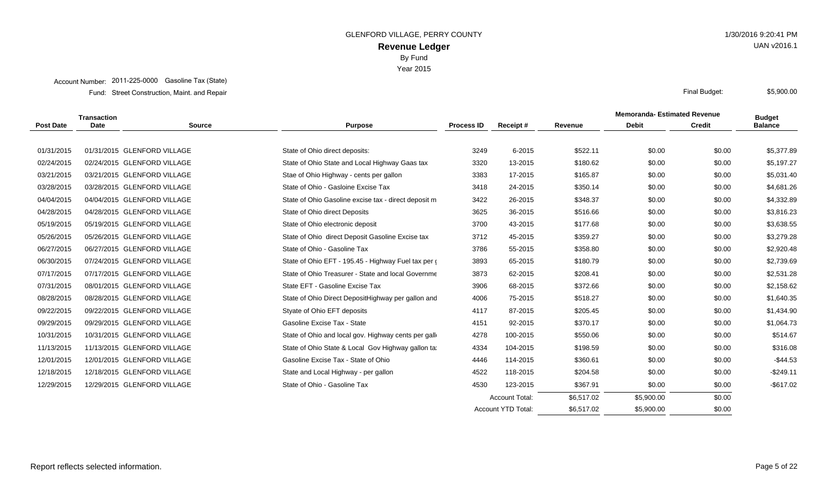Year 2015

#### Account Number: 2011-225-0000 Gasoline Tax (State)

Street Construction, Maint. and Repair Final Budget: Fund:

|                  | <b>Transaction</b> |                             |                                                      |                   |                       |            | <b>Memoranda-Estimated Revenue</b> |               | <b>Budget</b>  |
|------------------|--------------------|-----------------------------|------------------------------------------------------|-------------------|-----------------------|------------|------------------------------------|---------------|----------------|
| <b>Post Date</b> | <b>Date</b>        | <b>Source</b>               | <b>Purpose</b>                                       | <b>Process ID</b> | Receipt#              | Revenue    | <b>Debit</b>                       | <b>Credit</b> | <b>Balance</b> |
|                  |                    |                             |                                                      |                   |                       |            |                                    |               |                |
| 01/31/2015       |                    | 01/31/2015 GLENFORD VILLAGE | State of Ohio direct deposits:                       | 3249              | 6-2015                | \$522.11   | \$0.00                             | \$0.00        | \$5,377.89     |
| 02/24/2015       |                    | 02/24/2015 GLENFORD VILLAGE | State of Ohio State and Local Highway Gaas tax       | 3320              | 13-2015               | \$180.62   | \$0.00                             | \$0.00        | \$5,197.27     |
| 03/21/2015       |                    | 03/21/2015 GLENFORD VILLAGE | Stae of Ohio Highway - cents per gallon              | 3383              | 17-2015               | \$165.87   | \$0.00                             | \$0.00        | \$5,031.40     |
| 03/28/2015       |                    | 03/28/2015 GLENFORD VILLAGE | State of Ohio - Gasloine Excise Tax                  | 3418              | 24-2015               | \$350.14   | \$0.00                             | \$0.00        | \$4,681.26     |
| 04/04/2015       |                    | 04/04/2015 GLENFORD VILLAGE | State of Ohio Gasoline excise tax - direct deposit m | 3422              | 26-2015               | \$348.37   | \$0.00                             | \$0.00        | \$4,332.89     |
| 04/28/2015       |                    | 04/28/2015 GLENFORD VILLAGE | State of Ohio direct Deposits                        | 3625              | 36-2015               | \$516.66   | \$0.00                             | \$0.00        | \$3,816.23     |
| 05/19/2015       |                    | 05/19/2015 GLENFORD VILLAGE | State of Ohio electronic deposit                     | 3700              | 43-2015               | \$177.68   | \$0.00                             | \$0.00        | \$3,638.55     |
| 05/26/2015       |                    | 05/26/2015 GLENFORD VILLAGE | State of Ohio direct Deposit Gasoline Excise tax     | 3712              | 45-2015               | \$359.27   | \$0.00                             | \$0.00        | \$3,279.28     |
| 06/27/2015       |                    | 06/27/2015 GLENFORD VILLAGE | State of Ohio - Gasoline Tax                         | 3786              | 55-2015               | \$358.80   | \$0.00                             | \$0.00        | \$2,920.48     |
| 06/30/2015       |                    | 07/24/2015 GLENFORD VILLAGE | State of Ohio EFT - 195.45 - Highway Fuel tax per (  | 3893              | 65-2015               | \$180.79   | \$0.00                             | \$0.00        | \$2,739.69     |
| 07/17/2015       |                    | 07/17/2015 GLENFORD VILLAGE | State of Ohio Treasurer - State and local Governme   | 3873              | 62-2015               | \$208.41   | \$0.00                             | \$0.00        | \$2,531.28     |
| 07/31/2015       |                    | 08/01/2015 GLENFORD VILLAGE | State EFT - Gasoline Excise Tax                      | 3906              | 68-2015               | \$372.66   | \$0.00                             | \$0.00        | \$2,158.62     |
| 08/28/2015       |                    | 08/28/2015 GLENFORD VILLAGE | State of Ohio Direct DepositHighway per gallon and   | 4006              | 75-2015               | \$518.27   | \$0.00                             | \$0.00        | \$1,640.35     |
| 09/22/2015       |                    | 09/22/2015 GLENFORD VILLAGE | Styate of Ohio EFT deposits                          | 4117              | 87-2015               | \$205.45   | \$0.00                             | \$0.00        | \$1,434.90     |
| 09/29/2015       |                    | 09/29/2015 GLENFORD VILLAGE | Gasoline Excise Tax - State                          | 4151              | 92-2015               | \$370.17   | \$0.00                             | \$0.00        | \$1,064.73     |
| 10/31/2015       |                    | 10/31/2015 GLENFORD VILLAGE | State of Ohio and local gov. Highway cents per gall  | 4278              | 100-2015              | \$550.06   | \$0.00                             | \$0.00        | \$514.67       |
| 11/13/2015       |                    | 11/13/2015 GLENFORD VILLAGE | State of Ohio State & Local Gov Highway gallon ta    | 4334              | 104-2015              | \$198.59   | \$0.00                             | \$0.00        | \$316.08       |
| 12/01/2015       |                    | 12/01/2015 GLENFORD VILLAGE | Gasoline Excise Tax - State of Ohio                  | 4446              | 114-2015              | \$360.61   | \$0.00                             | \$0.00        | $-$44.53$      |
| 12/18/2015       |                    | 12/18/2015 GLENFORD VILLAGE | State and Local Highway - per gallon                 | 4522              | 118-2015              | \$204.58   | \$0.00                             | \$0.00        | $-$249.11$     |
| 12/29/2015       |                    | 12/29/2015 GLENFORD VILLAGE | State of Ohio - Gasoline Tax                         | 4530              | 123-2015              | \$367.91   | \$0.00                             | \$0.00        | $-$ \$617.02   |
|                  |                    |                             |                                                      |                   | <b>Account Total:</b> | \$6,517.02 | \$5,900.00                         | \$0.00        |                |
|                  |                    |                             |                                                      |                   | Account YTD Total:    | \$6,517.02 | \$5,900.00                         | \$0.00        |                |

UAN v2016.1

\$5,900.00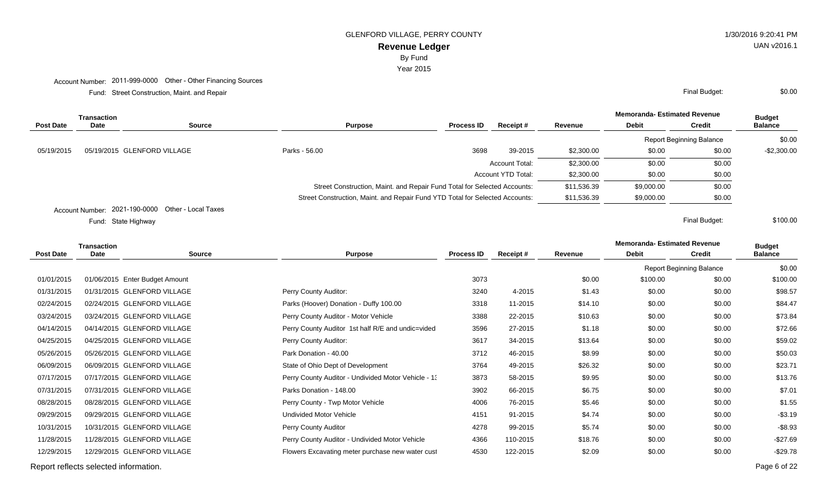**Revenue Ledger** GLENFORD VILLAGE, PERRY COUNTY 6120:41 PM

Year 2015

Account Number: 2011-999-0000 Other - Other Financing Sources

Street Construction, Maint. and Repair Final Budget: Fund:

|            | Transaction |                             |                                                                              |                   |                           |             | <b>Memoranda- Estimated Revenue</b> |                          | <b>Budget</b>  |
|------------|-------------|-----------------------------|------------------------------------------------------------------------------|-------------------|---------------------------|-------------|-------------------------------------|--------------------------|----------------|
| Post Date  | Date        | <b>Source</b>               | <b>Purpose</b>                                                               | <b>Process ID</b> | Receipt#                  | Revenue     | <b>Debit</b>                        | <b>Credit</b>            | <b>Balance</b> |
|            |             |                             |                                                                              |                   |                           |             |                                     | Report Beginning Balance | \$0.00         |
| 05/19/2015 |             | 05/19/2015 GLENFORD VILLAGE | Parks - 56.00                                                                | 3698              | 39-2015                   | \$2,300.00  | \$0.00                              | \$0.00                   | $-$2,300.00$   |
|            |             |                             |                                                                              |                   | <b>Account Total:</b>     | \$2,300.00  | \$0.00                              | \$0.00                   |                |
|            |             |                             |                                                                              |                   | <b>Account YTD Total:</b> | \$2,300.00  | \$0.00                              | \$0.00                   |                |
|            |             |                             | Street Construction, Maint. and Repair Fund Total for Selected Accounts:     |                   |                           | \$11,536.39 | \$9,000.00                          | \$0.00                   |                |
|            |             |                             | Street Construction, Maint. and Repair Fund YTD Total for Selected Accounts: |                   | \$11,536.39               | \$9,000.00  | \$0.00                              |                          |                |
|            |             | 0.004, 400, 0.000, 0.1, 1.1 |                                                                              |                   |                           |             |                                     |                          |                |

Account Number: 2021-190-0000 Other - Local Taxes

State Highway Final Budget: Fund: State Highway

| <b>Transaction</b> |            |             |                                |                                                     |                   |                  | <b>Memoranda-Estimated Revenue</b> |              | <b>Budget</b>                   |                |
|--------------------|------------|-------------|--------------------------------|-----------------------------------------------------|-------------------|------------------|------------------------------------|--------------|---------------------------------|----------------|
|                    | Post Date  | <b>Date</b> | <b>Source</b>                  | Purpose                                             | <b>Process ID</b> | <b>Receipt #</b> | Revenue                            | <b>Debit</b> | <b>Credit</b>                   | <b>Balance</b> |
|                    |            |             |                                |                                                     |                   |                  |                                    |              | <b>Report Beginning Balance</b> | \$0.00         |
|                    | 01/01/2015 |             | 01/06/2015 Enter Budget Amount |                                                     | 3073              |                  | \$0.00                             | \$100.00     | \$0.00                          | \$100.00       |
|                    | 01/31/2015 |             | 01/31/2015 GLENFORD VILLAGE    | Perry County Auditor:                               | 3240              | 4-2015           | \$1.43                             | \$0.00       | \$0.00                          | \$98.57        |
|                    | 02/24/2015 |             | 02/24/2015 GLENFORD VILLAGE    | Parks (Hoover) Donation - Duffy 100.00              | 3318              | 11-2015          | \$14.10                            | \$0.00       | \$0.00                          | \$84.47        |
|                    | 03/24/2015 |             | 03/24/2015 GLENFORD VILLAGE    | Perry County Auditor - Motor Vehicle                | 3388              | 22-2015          | \$10.63                            | \$0.00       | \$0.00                          | \$73.84        |
|                    | 04/14/2015 |             | 04/14/2015 GLENFORD VILLAGE    | Perry County Auditor 1st half R/E and undic=vided   | 3596              | 27-2015          | \$1.18                             | \$0.00       | \$0.00                          | \$72.66        |
|                    | 04/25/2015 |             | 04/25/2015 GLENFORD VILLAGE    | Perry County Auditor:                               | 3617              | 34-2015          | \$13.64                            | \$0.00       | \$0.00                          | \$59.02        |
|                    | 05/26/2015 |             | 05/26/2015 GLENFORD VILLAGE    | Park Donation - 40.00                               | 3712              | 46-2015          | \$8.99                             | \$0.00       | \$0.00                          | \$50.03        |
|                    | 06/09/2015 |             | 06/09/2015 GLENFORD VILLAGE    | State of Ohio Dept of Development                   | 3764              | 49-2015          | \$26.32                            | \$0.00       | \$0.00                          | \$23.71        |
|                    | 07/17/2015 |             | 07/17/2015 GLENFORD VILLAGE    | Perry County Auditor - Undivided Motor Vehicle - 1: | 3873              | 58-2015          | \$9.95                             | \$0.00       | \$0.00                          | \$13.76        |
|                    | 07/31/2015 |             | 07/31/2015 GLENFORD VILLAGE    | Parks Donation - 148.00                             | 3902              | 66-2015          | \$6.75                             | \$0.00       | \$0.00                          | \$7.01         |
|                    | 08/28/2015 |             | 08/28/2015 GLENFORD VILLAGE    | Perry County - Twp Motor Vehicle                    | 4006              | 76-2015          | \$5.46                             | \$0.00       | \$0.00                          | \$1.55         |
|                    | 09/29/2015 |             | 09/29/2015 GLENFORD VILLAGE    | <b>Undivided Motor Vehicle</b>                      | 4151              | 91-2015          | \$4.74                             | \$0.00       | \$0.00                          | $-$3.19$       |
|                    | 10/31/2015 |             | 10/31/2015 GLENFORD VILLAGE    | Perry County Auditor                                | 4278              | 99-2015          | \$5.74                             | \$0.00       | \$0.00                          | $-$8.93$       |
|                    | 11/28/2015 |             | 11/28/2015 GLENFORD VILLAGE    | Perry County Auditor - Undivided Motor Vehicle      | 4366              | 110-2015         | \$18.76                            | \$0.00       | \$0.00                          | $-$27.69$      |
|                    | 12/29/2015 |             | 12/29/2015 GLENFORD VILLAGE    | Flowers Excavating meter purchase new water cust    | 4530              | 122-2015         | \$2.09                             | \$0.00       | \$0.00                          | $-$29.78$      |
|                    |            |             |                                |                                                     |                   |                  |                                    |              |                                 |                |

Report reflects selected information. Page 6 of 22

UAN v2016.1

\$0.00

\$100.00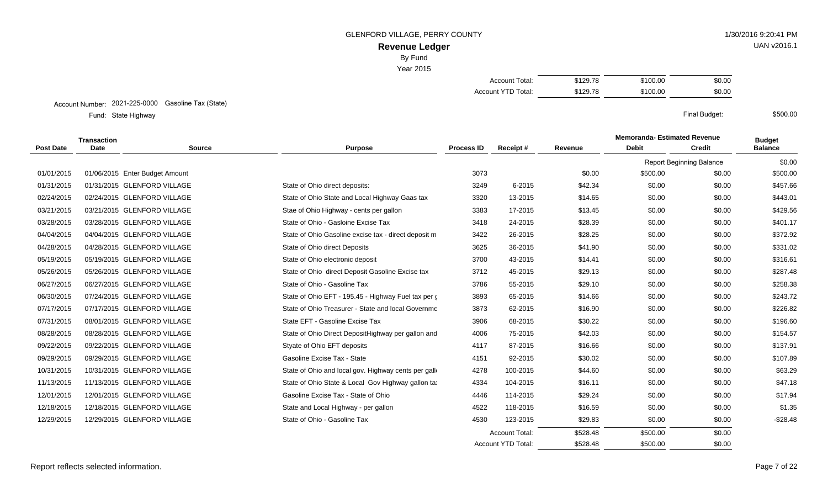GLENFORD VILLAGE, PERRY COUNTY 6120:41 PM

# UAN v2016.1

\$500.00

# **Revenue Ledger** By Fund

Year 2015

| Account Total:     | \$129.78 | \$100.00 | \$0.00 |
|--------------------|----------|----------|--------|
| Account YTD Total: | \$129.78 | \$100.00 | \$0.00 |

#### Account Number: 2021-225-0000 Gasoline Tax (State)

State Highway Final Budget: Fund: State Highway

|                  | <b>Transaction</b> |                                |                                                      |                   |                           |          | <b>Memoranda-Estimated Revenue</b> | <b>Budget</b>                   |                |
|------------------|--------------------|--------------------------------|------------------------------------------------------|-------------------|---------------------------|----------|------------------------------------|---------------------------------|----------------|
| <b>Post Date</b> | <b>Date</b>        | <b>Source</b>                  | <b>Purpose</b>                                       | <b>Process ID</b> | Receipt#                  | Revenue  | <b>Debit</b>                       | <b>Credit</b>                   | <b>Balance</b> |
|                  |                    |                                |                                                      |                   |                           |          |                                    | <b>Report Beginning Balance</b> | \$0.00         |
| 01/01/2015       |                    | 01/06/2015 Enter Budget Amount |                                                      | 3073              |                           | \$0.00   | \$500.00                           | \$0.00                          | \$500.00       |
| 01/31/2015       |                    | 01/31/2015 GLENFORD VILLAGE    | State of Ohio direct deposits:                       | 3249              | 6-2015                    | \$42.34  | \$0.00                             | \$0.00                          | \$457.66       |
| 02/24/2015       |                    | 02/24/2015 GLENFORD VILLAGE    | State of Ohio State and Local Highway Gaas tax       | 3320              | 13-2015                   | \$14.65  | \$0.00                             | \$0.00                          | \$443.01       |
| 03/21/2015       |                    | 03/21/2015 GLENFORD VILLAGE    | Stae of Ohio Highway - cents per gallon              | 3383              | 17-2015                   | \$13.45  | \$0.00                             | \$0.00                          | \$429.56       |
| 03/28/2015       |                    | 03/28/2015 GLENFORD VILLAGE    | State of Ohio - Gasloine Excise Tax                  | 3418              | 24-2015                   | \$28.39  | \$0.00                             | \$0.00                          | \$401.17       |
| 04/04/2015       |                    | 04/04/2015 GLENFORD VILLAGE    | State of Ohio Gasoline excise tax - direct deposit m | 3422              | 26-2015                   | \$28.25  | \$0.00                             | \$0.00                          | \$372.92       |
| 04/28/2015       |                    | 04/28/2015 GLENFORD VILLAGE    | State of Ohio direct Deposits                        | 3625              | 36-2015                   | \$41.90  | \$0.00                             | \$0.00                          | \$331.02       |
| 05/19/2015       |                    | 05/19/2015 GLENFORD VILLAGE    | State of Ohio electronic deposit                     | 3700              | 43-2015                   | \$14.41  | \$0.00                             | \$0.00                          | \$316.61       |
| 05/26/2015       |                    | 05/26/2015 GLENFORD VILLAGE    | State of Ohio direct Deposit Gasoline Excise tax     | 3712              | 45-2015                   | \$29.13  | \$0.00                             | \$0.00                          | \$287.48       |
| 06/27/2015       |                    | 06/27/2015 GLENFORD VILLAGE    | State of Ohio - Gasoline Tax                         | 3786              | 55-2015                   | \$29.10  | \$0.00                             | \$0.00                          | \$258.38       |
| 06/30/2015       |                    | 07/24/2015 GLENFORD VILLAGE    | State of Ohio EFT - 195.45 - Highway Fuel tax per    | 3893              | 65-2015                   | \$14.66  | \$0.00                             | \$0.00                          | \$243.72       |
| 07/17/2015       |                    | 07/17/2015 GLENFORD VILLAGE    | State of Ohio Treasurer - State and local Governme   | 3873              | 62-2015                   | \$16.90  | \$0.00                             | \$0.00                          | \$226.82       |
| 07/31/2015       |                    | 08/01/2015 GLENFORD VILLAGE    | State EFT - Gasoline Excise Tax                      | 3906              | 68-2015                   | \$30.22  | \$0.00                             | \$0.00                          | \$196.60       |
| 08/28/2015       |                    | 08/28/2015 GLENFORD VILLAGE    | State of Ohio Direct DepositHighway per gallon and   | 4006              | 75-2015                   | \$42.03  | \$0.00                             | \$0.00                          | \$154.57       |
| 09/22/2015       |                    | 09/22/2015 GLENFORD VILLAGE    | Styate of Ohio EFT deposits                          | 4117              | 87-2015                   | \$16.66  | \$0.00                             | \$0.00                          | \$137.91       |
| 09/29/2015       |                    | 09/29/2015 GLENFORD VILLAGE    | Gasoline Excise Tax - State                          | 4151              | 92-2015                   | \$30.02  | \$0.00                             | \$0.00                          | \$107.89       |
| 10/31/2015       |                    | 10/31/2015 GLENFORD VILLAGE    | State of Ohio and local gov. Highway cents per gall  | 4278              | 100-2015                  | \$44.60  | \$0.00                             | \$0.00                          | \$63.29        |
| 11/13/2015       |                    | 11/13/2015 GLENFORD VILLAGE    | State of Ohio State & Local Gov Highway gallon ta    | 4334              | 104-2015                  | \$16.11  | \$0.00                             | \$0.00                          | \$47.18        |
| 12/01/2015       |                    | 12/01/2015 GLENFORD VILLAGE    | Gasoline Excise Tax - State of Ohio                  | 4446              | 114-2015                  | \$29.24  | \$0.00                             | \$0.00                          | \$17.94        |
| 12/18/2015       |                    | 12/18/2015 GLENFORD VILLAGE    | State and Local Highway - per gallon                 | 4522              | 118-2015                  | \$16.59  | \$0.00                             | \$0.00                          | \$1.35         |
| 12/29/2015       |                    | 12/29/2015 GLENFORD VILLAGE    | State of Ohio - Gasoline Tax                         | 4530              | 123-2015                  | \$29.83  | \$0.00                             | \$0.00                          | $-$28.48$      |
|                  |                    |                                |                                                      |                   | <b>Account Total:</b>     | \$528.48 | \$500.00                           | \$0.00                          |                |
|                  |                    |                                |                                                      |                   | <b>Account YTD Total:</b> | \$528.48 | \$500.00                           | \$0.00                          |                |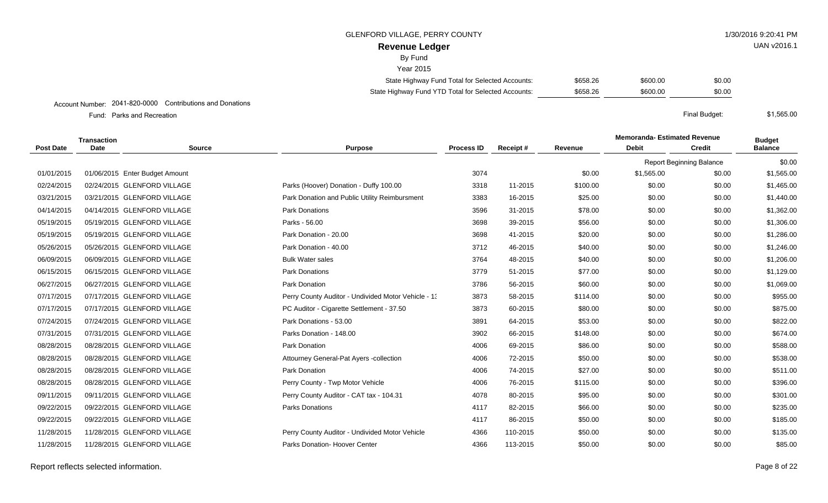#### GLENFORD VILLAGE. PERRY COUNTY AND RESERVED TO A 1/30/2016 9:20:41 PM

### **Revenue Ledger**

By Fund

 $V<sub>0</sub>$ ar 2015

| rear zu ro                                          |          |          |        |
|-----------------------------------------------------|----------|----------|--------|
| State Highway Fund Total for Selected Accounts:     | \$658.26 | \$600.00 | \$0.00 |
| State Highway Fund YTD Total for Selected Accounts: | \$658.26 | \$600.00 | \$0.00 |

#### Account Number: 2041-820-0000 Contributions and Donations

Parks and Recreation Final Budget: Fund: Parks and Recreation

**Memoranda- Estimated Revenue Source Purpose Process ID Receipt # Revenue Debit Transaction Post Date Date Budget Credit Balance** Report Beginning Balance \$0.00 01/01/2015 01/06/2015 Enter Budget Amount 2002 1.565.00 \$1,565.00 \$1,565.00 \$1,565.00 \$1,565.00 \$1,565.00 02/24/2015 02/24/2015 GLENFORD VILLAGE Parks (Hoover) Donation - Duffy 100.00 3318 11-2015 \$100.00 \$0.00 \$0.00 \$1,465.00 03/21/2015 03/21/2015 GLENFORD VILLAGE **Park Donation and Public Utility Reimbursment** 3383 16-2015 \$25.00 \$0.00 \$1,440.00 04/14/2015 04/14/2015 GLENFORD VILLAGE **Park Donations** Park Polyne and Mark 2015 3596 31-2015 \$78.00 \$0.00 \$1,362.00 05/19/2015 05/19/2015 GLENFORD VILLAGE 3698 39-2015 \$0.00 \$0.00 \$1.306.00 05/19/2015 05/19/2015 GLENFORD VILLAGE **Park Donation - 20.00** 3698 41-2015 \$20.00 \$0.00 \$1,286.00 \$1,286.00 05/26/2015 05/26/2015 GLENFORD VILLAGE **Park Donation - 40.00** 3712 46-2015 \$40.00 \$0.00 \$0.00 \$1.246.00 06/09/2015 06/09/2015 GLENFORD VILLAGE Bulk Water sales 3764 48-2015 \$40.00 \$0.00 \$0.00 \$1.206.00 06/15/2015 06/15/2015 GLENFORD VILLAGE Park Donations 3779 51-2015 \$77.00 \$0.00 \$0.00 \$1,129.00 06/27/2015 06/27/2015 GLENFORD VILLAGE **Park Donation** Park Donation 3786 56-2015 \$60.00 \$0.00 \$1,069.00 \$1,069.00 07/17/2015 07/17/2015 GLENFORD VILLAGE **Perry County Auditor - Undivided Motor Vehicle - 1** 3873 58-2015 \$114.00 \$0.00 \$0.00 \$955.00 07/17/2015 07/17/2015 GLENFORD VILLAGE **PC Auditor - Cigarette Settlement - 37.50** 3873 60-2015 \$80.00 \$0.00 \$0.00 \$875.00 07/24/2015 07/24/2015 GLENFORD VILLAGE **Park Donations - 53.00** 3891 64-2015 \$53.00 \$0.00 \$0.00 \$822.00 07/31/2015 07/31/2015 GLENFORD VILLAGE **Parks Donation - 148.00** 3902 66-2015 \$148.00 \$0.00 \$0.00 \$674.00 08/28/2015 08/28/2015 GLENFORD VILLAGE Park Donation 4006 69-2015 \$86.00 \$0.00 \$0.00 \$588.00 08/28/2015 08/28/2015 GLENFORD VILLAGE **Attourney General-Pat Ayers -collection** 4006 72-2015 \$50.00 \$0.00 \$0.00 \$538.00 08/28/2015 08/28/2015 GLENFORD VILLAGE **Park Donation** Park Donation **1999 12006** 74-2015 \$27.00 \$0.00 \$0.00 \$511.00 08/28/2015 08/28/2015 GLENFORD VILLAGE **Perry County - Twp Motor Vehicle** 4006 76-2015 \$115.00 \$0.00 \$0.00 \$396.00 09/11/2015 09/11/2015 GLENFORD VILLAGE **Perry County Auditor - CAT tax - 104.31** 4078 80-2015 \$95.00 \$0.00 \$0.00 \$301.00 09/22/2015 09/22/2015 GLENFORD VILLAGE **Parks Donations Parks Donations 4117** 82-2015 \$66.00 \$0.00 \$0.00 \$235.00 09/22/2015 09/22/2015 GLENFORD VILLAGE \$50.00 \$0.00 \$0.00 \$185.00 11/28/2015 11/28/2015 GLENFORD VILLAGE Perry County Auditor - Undivided Motor Vehicle 4366 110-2015 \$50.00 \$0.00 \$0.00 \$135.00 11/28/2015 11/28/2015 GLENFORD VILLAGE Parks Donation- Hoover Center 4366 113-2015 \$50.00 \$0.00 \$0.00 \$85.00

UAN v2016.1

\$1,565.00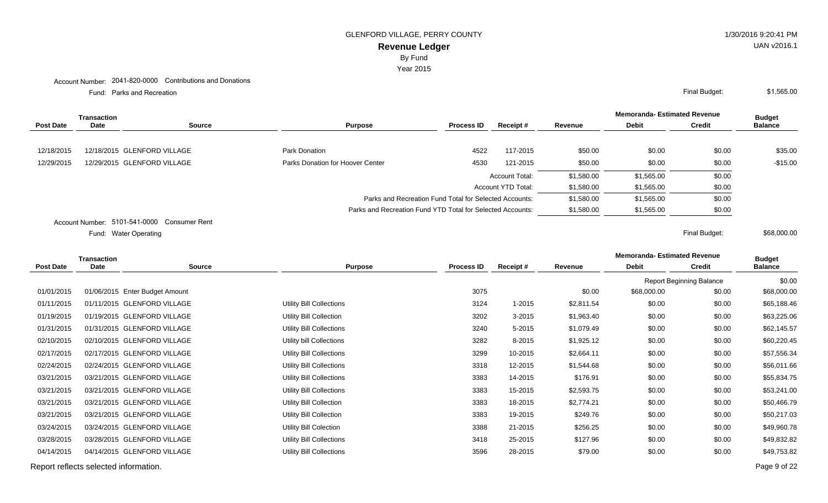By Fund

Year 2015

#### Account Number: 2041-820-0000 Contributions and Donations

Parks and Recreation Final Budget: Fund: Parks and Recreation

|                  | Transaction |                             |                                                            |                                                        |                  |            | <b>Memoranda-Estimated Revenue</b> |               | <b>Budget</b>  |
|------------------|-------------|-----------------------------|------------------------------------------------------------|--------------------------------------------------------|------------------|------------|------------------------------------|---------------|----------------|
| <b>Post Date</b> | Date        | Source                      | <b>Purpose</b>                                             | <b>Process ID</b>                                      | <b>Receipt</b> # | Revenue    | <b>Debit</b>                       | <b>Credit</b> | <b>Balance</b> |
| 12/18/2015       |             | 12/18/2015 GLENFORD VILLAGE | Park Donation                                              | 4522                                                   | 117-2015         | \$50.00    | \$0.00                             | \$0.00        | \$35.00        |
| 12/29/2015       |             | 12/29/2015 GLENFORD VILLAGE | Parks Donation for Hoover Center                           | 4530                                                   | 121-2015         | \$50.00    | \$0.00                             | \$0.00        | $-$15.00$      |
|                  |             |                             |                                                            |                                                        | Account Total:   | \$1,580.00 | \$1,565.00                         | \$0.00        |                |
|                  |             |                             |                                                            | Account YTD Total:                                     |                  |            |                                    | \$0.00        |                |
|                  |             |                             |                                                            | Parks and Recreation Fund Total for Selected Accounts: |                  |            |                                    | \$0.00        |                |
|                  |             |                             | Parks and Recreation Fund YTD Total for Selected Accounts: |                                                        | \$1,580.00       | \$1,565.00 | \$0.00                             |               |                |
|                  |             |                             |                                                            |                                                        |                  |            |                                    |               |                |

Account Number: 5101-541-0000 Consumer Rent

Water Operating Final Budget: Fund: Water Operating

|  |            | Transaction |                                |                                |                   |            |            | <b>Memoranda-Estimated Revenue</b> |                                 | <b>Budget</b>  |
|--|------------|-------------|--------------------------------|--------------------------------|-------------------|------------|------------|------------------------------------|---------------------------------|----------------|
|  | Post Date  | Date        | <b>Source</b>                  | <b>Purpose</b>                 | <b>Process ID</b> | Receipt#   | Revenue    | <b>Debit</b>                       | <b>Credit</b>                   | <b>Balance</b> |
|  |            |             |                                |                                |                   |            |            |                                    | <b>Report Beginning Balance</b> | \$0.00         |
|  | 01/01/2015 |             | 01/06/2015 Enter Budget Amount |                                | 3075              |            | \$0.00     | \$68,000.00                        | \$0.00                          | \$68,000.00    |
|  | 01/11/2015 |             | 01/11/2015 GLENFORD VILLAGE    | Utility Bill Collections       | 3124              | $1 - 2015$ | \$2,811.54 | \$0.00                             | \$0.00                          | \$65,188.46    |
|  | 01/19/2015 |             | 01/19/2015 GLENFORD VILLAGE    | <b>Utility Bill Collection</b> | 3202              | $3 - 2015$ | \$1,963.40 | \$0.00                             | \$0.00                          | \$63,225.06    |
|  | 01/31/2015 |             | 01/31/2015 GLENFORD VILLAGE    | Utility Bill Collections       | 3240              | 5-2015     | \$1,079.49 | \$0.00                             | \$0.00                          | \$62,145.57    |
|  | 02/10/2015 |             | 02/10/2015 GLENFORD VILLAGE    | Utility bill Collections       | 3282              | 8-2015     | \$1,925.12 | \$0.00                             | \$0.00                          | \$60,220.45    |
|  | 02/17/2015 |             | 02/17/2015 GLENFORD VILLAGE    | Utility Bill Collections       | 3299              | 10-2015    | \$2,664.11 | \$0.00                             | \$0.00                          | \$57,556.34    |
|  | 02/24/2015 |             | 02/24/2015 GLENFORD VILLAGE    | Utility Bill Collections       | 3318              | 12-2015    | \$1,544.68 | \$0.00                             | \$0.00                          | \$56,011.66    |
|  | 03/21/2015 |             | 03/21/2015 GLENFORD VILLAGE    | Utility Bill Collections       | 3383              | 14-2015    | \$176.91   | \$0.00                             | \$0.00                          | \$55,834.75    |
|  | 03/21/2015 |             | 03/21/2015 GLENFORD VILLAGE    | Utility Bill Collections       | 3383              | 15-2015    | \$2,593.75 | \$0.00                             | \$0.00                          | \$53,241.00    |
|  | 03/21/2015 |             | 03/21/2015 GLENFORD VILLAGE    | Utility Bill Collection        | 3383              | 18-2015    | \$2,774.21 | \$0.00                             | \$0.00                          | \$50,466.79    |
|  | 03/21/2015 |             | 03/21/2015 GLENFORD VILLAGE    | Utility Bill Collection        | 3383              | 19-2015    | \$249.76   | \$0.00                             | \$0.00                          | \$50,217.03    |
|  | 03/24/2015 |             | 03/24/2015 GLENFORD VILLAGE    | Utility Bill Colection         | 3388              | 21-2015    | \$256.25   | \$0.00                             | \$0.00                          | \$49,960.78    |
|  | 03/28/2015 |             | 03/28/2015 GLENFORD VILLAGE    | Utility Bill Collections       | 3418              | 25-2015    | \$127.96   | \$0.00                             | \$0.00                          | \$49,832.82    |
|  | 04/14/2015 |             | 04/14/2015 GLENFORD VILLAGE    | Utility Bill Collections       | 3596              | 28-2015    | \$79.00    | \$0.00                             | \$0.00                          | \$49,753.82    |
|  |            |             |                                |                                |                   |            |            |                                    |                                 |                |

Report reflects selected information. Page 9 of 22

\$68,000.00

\$1,565.00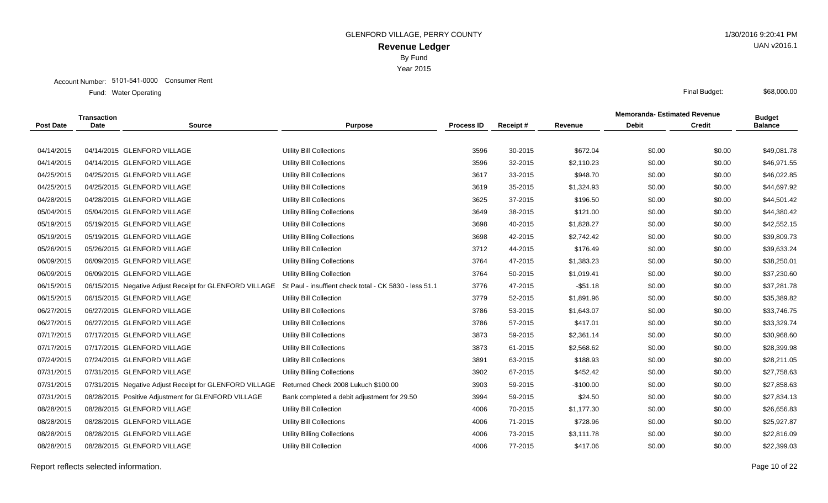Year 2015

|                  | <b>Transaction</b> |                                                         |                                                        |                   |          |            | <b>Memoranda-Estimated Revenue</b> |               | <b>Budget</b>  |
|------------------|--------------------|---------------------------------------------------------|--------------------------------------------------------|-------------------|----------|------------|------------------------------------|---------------|----------------|
| <b>Post Date</b> | <b>Date</b>        | <b>Source</b>                                           | <b>Purpose</b>                                         | <b>Process ID</b> | Receipt# | Revenue    | <b>Debit</b>                       | <b>Credit</b> | <b>Balance</b> |
|                  |                    |                                                         |                                                        |                   |          |            |                                    |               |                |
| 04/14/2015       |                    | 04/14/2015 GLENFORD VILLAGE                             | <b>Utility Bill Collections</b>                        | 3596              | 30-2015  | \$672.04   | \$0.00                             | \$0.00        | \$49,081.78    |
| 04/14/2015       |                    | 04/14/2015 GLENFORD VILLAGE                             | <b>Utility Bill Collections</b>                        | 3596              | 32-2015  | \$2,110.23 | \$0.00                             | \$0.00        | \$46,971.55    |
| 04/25/2015       |                    | 04/25/2015 GLENFORD VILLAGE                             | <b>Utility Bill Collections</b>                        | 3617              | 33-2015  | \$948.70   | \$0.00                             | \$0.00        | \$46,022.85    |
| 04/25/2015       |                    | 04/25/2015 GLENFORD VILLAGE                             | <b>Utility Bill Collections</b>                        | 3619              | 35-2015  | \$1,324.93 | \$0.00                             | \$0.00        | \$44,697.92    |
| 04/28/2015       |                    | 04/28/2015 GLENFORD VILLAGE                             | <b>Utility Bill Collections</b>                        | 3625              | 37-2015  | \$196.50   | \$0.00                             | \$0.00        | \$44,501.42    |
| 05/04/2015       |                    | 05/04/2015 GLENFORD VILLAGE                             | <b>Utility Billing Collections</b>                     | 3649              | 38-2015  | \$121.00   | \$0.00                             | \$0.00        | \$44,380.42    |
| 05/19/2015       |                    | 05/19/2015 GLENFORD VILLAGE                             | <b>Utility Bill Collections</b>                        | 3698              | 40-2015  | \$1,828.27 | \$0.00                             | \$0.00        | \$42,552.15    |
| 05/19/2015       |                    | 05/19/2015 GLENFORD VILLAGE                             | <b>Utility Billing Collections</b>                     | 3698              | 42-2015  | \$2,742.42 | \$0.00                             | \$0.00        | \$39,809.73    |
| 05/26/2015       |                    | 05/26/2015 GLENFORD VILLAGE                             | Utility Bill Collection                                | 3712              | 44-2015  | \$176.49   | \$0.00                             | \$0.00        | \$39,633.24    |
| 06/09/2015       |                    | 06/09/2015 GLENFORD VILLAGE                             | <b>Utility Billing Collections</b>                     | 3764              | 47-2015  | \$1,383.23 | \$0.00                             | \$0.00        | \$38,250.01    |
| 06/09/2015       |                    | 06/09/2015 GLENFORD VILLAGE                             | Utility Billing Collection                             | 3764              | 50-2015  | \$1,019.41 | \$0.00                             | \$0.00        | \$37,230.60    |
| 06/15/2015       |                    | 06/15/2015 Negative Adjust Receipt for GLENFORD VILLAGE | St Paul - insuffient check total - CK 5830 - less 51.1 | 3776              | 47-2015  | $-$51.18$  | \$0.00                             | \$0.00        | \$37,281.78    |
| 06/15/2015       |                    | 06/15/2015 GLENFORD VILLAGE                             | <b>Utility Bill Collection</b>                         | 3779              | 52-2015  | \$1,891.96 | \$0.00                             | \$0.00        | \$35,389.82    |
| 06/27/2015       |                    | 06/27/2015 GLENFORD VILLAGE                             | <b>Utility Bill Collections</b>                        | 3786              | 53-2015  | \$1,643.07 | \$0.00                             | \$0.00        | \$33,746.75    |
| 06/27/2015       |                    | 06/27/2015 GLENFORD VILLAGE                             | <b>Utility Bill Collections</b>                        | 3786              | 57-2015  | \$417.01   | \$0.00                             | \$0.00        | \$33,329.74    |
| 07/17/2015       |                    | 07/17/2015 GLENFORD VILLAGE                             | <b>Utility Bill Collections</b>                        | 3873              | 59-2015  | \$2,361.14 | \$0.00                             | \$0.00        | \$30,968.60    |
| 07/17/2015       |                    | 07/17/2015 GLENFORD VILLAGE                             | <b>Utility Bill Collections</b>                        | 3873              | 61-2015  | \$2,568.62 | \$0.00                             | \$0.00        | \$28,399.98    |
| 07/24/2015       |                    | 07/24/2015 GLENFORD VILLAGE                             | <b>Uitlity Bill Collections</b>                        | 3891              | 63-2015  | \$188.93   | \$0.00                             | \$0.00        | \$28,211.05    |
| 07/31/2015       |                    | 07/31/2015 GLENFORD VILLAGE                             | <b>Utility Billing Collections</b>                     | 3902              | 67-2015  | \$452.42   | \$0.00                             | \$0.00        | \$27,758.63    |
| 07/31/2015       |                    | 07/31/2015 Negative Adjust Receipt for GLENFORD VILLAGE | Returned Check 2008 Lukuch \$100.00                    | 3903              | 59-2015  | $-$100.00$ | \$0.00                             | \$0.00        | \$27,858.63    |
| 07/31/2015       |                    | 08/28/2015 Positive Adjustment for GLENFORD VILLAGE     | Bank completed a debit adjustment for 29.50            | 3994              | 59-2015  | \$24.50    | \$0.00                             | \$0.00        | \$27,834.13    |
| 08/28/2015       |                    | 08/28/2015 GLENFORD VILLAGE                             | Utility Bill Collection                                | 4006              | 70-2015  | \$1.177.30 | \$0.00                             | \$0.00        | \$26,656.83    |
| 08/28/2015       |                    | 08/28/2015 GLENFORD VILLAGE                             | <b>Utility Bill Collections</b>                        | 4006              | 71-2015  | \$728.96   | \$0.00                             | \$0.00        | \$25,927.87    |
| 08/28/2015       |                    | 08/28/2015 GLENFORD VILLAGE                             | <b>Utility Billing Collections</b>                     | 4006              | 73-2015  | \$3,111.78 | \$0.00                             | \$0.00        | \$22,816.09    |
| 08/28/2015       |                    | 08/28/2015 GLENFORD VILLAGE                             | Utility Bill Collection                                | 4006              | 77-2015  | \$417.06   | \$0.00                             | \$0.00        | \$22,399.03    |
|                  |                    |                                                         |                                                        |                   |          |            |                                    |               |                |

\$68,000.00

UAN v2016.1

Report reflects selected information. Page 10 of 22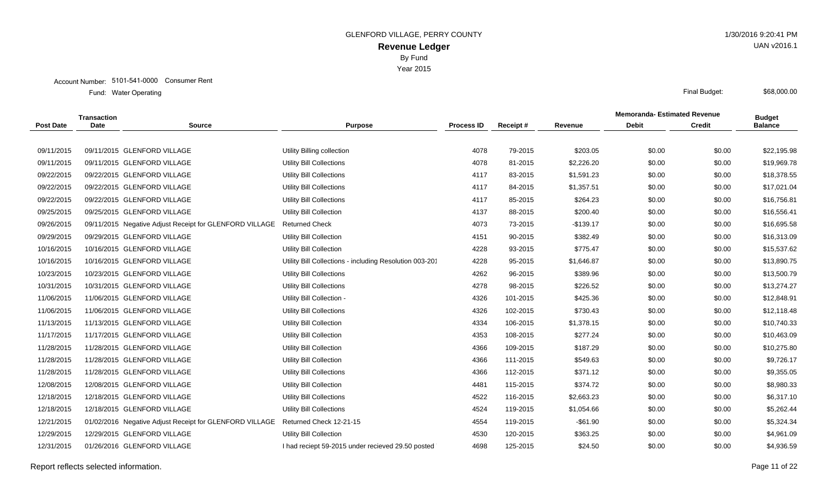Year 2015

|                  | <b>Transaction</b> |                                                         |                                                        |                   |          |             | <b>Memoranda- Estimated Revenue</b> |               | <b>Budget</b>  |
|------------------|--------------------|---------------------------------------------------------|--------------------------------------------------------|-------------------|----------|-------------|-------------------------------------|---------------|----------------|
| <b>Post Date</b> | <b>Date</b>        | <b>Source</b>                                           | <b>Purpose</b>                                         | <b>Process ID</b> | Receipt# | Revenue     | <b>Debit</b>                        | <b>Credit</b> | <b>Balance</b> |
|                  |                    |                                                         |                                                        |                   |          |             |                                     |               |                |
| 09/11/2015       |                    | 09/11/2015 GLENFORD VILLAGE                             | Utility Billing collection                             | 4078              | 79-2015  | \$203.05    | \$0.00                              | \$0.00        | \$22,195.98    |
| 09/11/2015       |                    | 09/11/2015 GLENFORD VILLAGE                             | <b>Utility Bill Collections</b>                        | 4078              | 81-2015  | \$2,226.20  | \$0.00                              | \$0.00        | \$19,969.78    |
| 09/22/2015       |                    | 09/22/2015 GLENFORD VILLAGE                             | <b>Utility Bill Collections</b>                        | 4117              | 83-2015  | \$1,591.23  | \$0.00                              | \$0.00        | \$18,378.55    |
| 09/22/2015       |                    | 09/22/2015 GLENFORD VILLAGE                             | <b>Utility Bill Collections</b>                        | 4117              | 84-2015  | \$1,357.51  | \$0.00                              | \$0.00        | \$17,021.04    |
| 09/22/2015       |                    | 09/22/2015 GLENFORD VILLAGE                             | <b>Utility Bill Collections</b>                        | 4117              | 85-2015  | \$264.23    | \$0.00                              | \$0.00        | \$16,756.81    |
| 09/25/2015       |                    | 09/25/2015 GLENFORD VILLAGE                             | Utility Bill Collection                                | 4137              | 88-2015  | \$200.40    | \$0.00                              | \$0.00        | \$16,556.41    |
| 09/26/2015       |                    | 09/11/2015 Negative Adjust Receipt for GLENFORD VILLAGE | <b>Returned Check</b>                                  | 4073              | 73-2015  | $-$139.17$  | \$0.00                              | \$0.00        | \$16,695.58    |
| 09/29/2015       |                    | 09/29/2015 GLENFORD VILLAGE                             | <b>Utility Bill Collection</b>                         | 4151              | 90-2015  | \$382.49    | \$0.00                              | \$0.00        | \$16,313.09    |
| 10/16/2015       |                    | 10/16/2015 GLENFORD VILLAGE                             | <b>Utility Bill Collection</b>                         | 4228              | 93-2015  | \$775.47    | \$0.00                              | \$0.00        | \$15,537.62    |
| 10/16/2015       |                    | 10/16/2015 GLENFORD VILLAGE                             | Utility Bill Collections - including Resolution 003-20 | 4228              | 95-2015  | \$1,646.87  | \$0.00                              | \$0.00        | \$13,890.75    |
| 10/23/2015       |                    | 10/23/2015 GLENFORD VILLAGE                             | <b>Utility Bill Collections</b>                        | 4262              | 96-2015  | \$389.96    | \$0.00                              | \$0.00        | \$13,500.79    |
| 10/31/2015       |                    | 10/31/2015 GLENFORD VILLAGE                             | <b>Utility Bill Collections</b>                        | 4278              | 98-2015  | \$226.52    | \$0.00                              | \$0.00        | \$13,274.27    |
| 11/06/2015       |                    | 11/06/2015 GLENFORD VILLAGE                             | Utility Bill Collection                                | 4326              | 101-2015 | \$425.36    | \$0.00                              | \$0.00        | \$12,848.91    |
| 11/06/2015       |                    | 11/06/2015 GLENFORD VILLAGE                             | <b>Utility Bill Collections</b>                        | 4326              | 102-2015 | \$730.43    | \$0.00                              | \$0.00        | \$12,118.48    |
| 11/13/2015       |                    | 11/13/2015 GLENFORD VILLAGE                             | <b>Utility Bill Collection</b>                         | 4334              | 106-2015 | \$1,378.15  | \$0.00                              | \$0.00        | \$10,740.33    |
| 11/17/2015       |                    | 11/17/2015 GLENFORD VILLAGE                             | <b>Utility Bill Collection</b>                         | 4353              | 108-2015 | \$277.24    | \$0.00                              | \$0.00        | \$10,463.09    |
| 11/28/2015       |                    | 11/28/2015 GLENFORD VILLAGE                             | <b>Utility Bill Collection</b>                         | 4366              | 109-2015 | \$187.29    | \$0.00                              | \$0.00        | \$10,275.80    |
| 11/28/2015       |                    | 11/28/2015 GLENFORD VILLAGE                             | <b>Utility Bill Collection</b>                         | 4366              | 111-2015 | \$549.63    | \$0.00                              | \$0.00        | \$9,726.17     |
| 11/28/2015       |                    | 11/28/2015 GLENFORD VILLAGE                             | <b>Utility Bill Collections</b>                        | 4366              | 112-2015 | \$371.12    | \$0.00                              | \$0.00        | \$9,355.05     |
| 12/08/2015       |                    | 12/08/2015 GLENFORD VILLAGE                             | <b>Utility Bill Collection</b>                         | 4481              | 115-2015 | \$374.72    | \$0.00                              | \$0.00        | \$8,980.33     |
| 12/18/2015       |                    | 12/18/2015 GLENFORD VILLAGE                             | <b>Utility Bill Collections</b>                        | 4522              | 116-2015 | \$2,663.23  | \$0.00                              | \$0.00        | \$6,317.10     |
| 12/18/2015       |                    | 12/18/2015 GLENFORD VILLAGE                             | <b>Utility Bill Collections</b>                        | 4524              | 119-2015 | \$1,054.66  | \$0.00                              | \$0.00        | \$5,262.44     |
| 12/21/2015       |                    | 01/02/2016 Negative Adjust Receipt for GLENFORD VILLAGE | Returned Check 12-21-15                                | 4554              | 119-2015 | $-$ \$61.90 | \$0.00                              | \$0.00        | \$5,324.34     |
| 12/29/2015       |                    | 12/29/2015 GLENFORD VILLAGE                             | <b>Utility Bill Collection</b>                         | 4530              | 120-2015 | \$363.25    | \$0.00                              | \$0.00        | \$4,961.09     |
| 12/31/2015       |                    | 01/26/2016 GLENFORD VILLAGE                             | I had reciept 59-2015 under recieved 29.50 posted      | 4698              | 125-2015 | \$24.50     | \$0.00                              | \$0.00        | \$4,936.59     |
|                  |                    |                                                         |                                                        |                   |          |             |                                     |               |                |

UAN v2016.1

\$68,000.00

Report reflects selected information. Page 11 of 22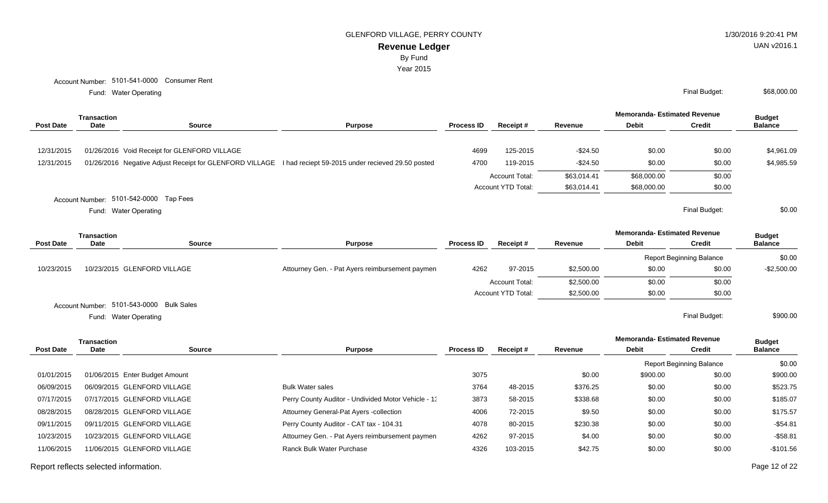By Fund

Year 2015

Water Operating Final Budget: Fund: Water Operating

|                  | <b>Transaction</b> |                                                                                                                      |                |                   |                    |             | <b>Memoranda- Estimated Revenue</b>                            |        | <b>Budget</b>  |
|------------------|--------------------|----------------------------------------------------------------------------------------------------------------------|----------------|-------------------|--------------------|-------------|----------------------------------------------------------------|--------|----------------|
| <b>Post Date</b> | Date               | <b>Source</b>                                                                                                        | <b>Purpose</b> | <b>Process ID</b> | <b>Receipt #</b>   | Revenu      | <b>Debit</b>                                                   |        | <b>Balance</b> |
|                  |                    |                                                                                                                      |                |                   |                    |             |                                                                |        |                |
|                  |                    | 12/31/2015  01/26/2016  Void Receipt for GLENFORD VILLAGE                                                            |                |                   | 4699 125-2015      | -\$24.50    |                                                                | \$0.00 | \$4,961.09     |
|                  |                    | 12/31/2015 01/26/2016 Negative Adjust Receipt for GLENFORD VILLAGE I had reciept 59-2015 under recieved 29.50 posted |                |                   | 4700 119-2015      | $-$24.50$   |                                                                | \$0.00 | \$4,985.59     |
|                  |                    |                                                                                                                      |                |                   | Account Total:     | \$63,014.41 | the contract of the contract of the contract of<br>\$68,000.00 | \$0.00 |                |
|                  |                    |                                                                                                                      |                |                   | Account YTD Total: | \$63,014.41 | \$68,000.00                                                    | \$0.00 |                |
|                  |                    | Account Number: 5101-542-0000 Tap Fees                                                                               |                |                   |                    |             |                                                                |        |                |

Water Operating Final Budget: Fund: Water Operating

\$0.00

|                  | Transaction |                                          |                                                 |                   |                           |            | <b>Memoranda-Estimated Revenue</b> |                                 | <b>Budget</b>  |  |
|------------------|-------------|------------------------------------------|-------------------------------------------------|-------------------|---------------------------|------------|------------------------------------|---------------------------------|----------------|--|
| <b>Post Date</b> | <b>Date</b> | Source                                   | <b>Purpose</b>                                  | <b>Process ID</b> | Receipt#                  | Revenue    | <b>Debit</b>                       | Credit                          | <b>Balance</b> |  |
|                  |             |                                          |                                                 |                   |                           |            |                                    | <b>Report Beginning Balance</b> | \$0.00         |  |
| 10/23/2015       |             | 10/23/2015 GLENFORD VILLAGE              | Attourney Gen. - Pat Ayers reimbursement paymen | 4262              | 97-2015                   | \$2,500.00 | \$0.00                             | \$0.00                          | $-$ \$2,500.00 |  |
|                  |             |                                          |                                                 |                   | <b>Account Total:</b>     | \$2,500.00 | \$0.00                             | \$0.00                          |                |  |
|                  |             |                                          |                                                 |                   | <b>Account YTD Total:</b> | \$2,500.00 | \$0.00                             | \$0.00                          |                |  |
|                  |             | Account Number: 5101-543-0000 Bulk Sales |                                                 |                   |                           |            |                                    |                                 |                |  |
|                  |             | Fund: Water Operating                    |                                                 |                   |                           |            |                                    | Final Budget:                   | \$900.00       |  |

**Memoranda- Estimated Revenue Source Purpose Process ID Receipt # Revenue Debit Transaction Post Date Date Budget Credit Balance** Report Beginning Balance \$0.00 01/01/2015 01/06/2015 Enter Budget Amount 2002.00 \$900.00 \$900.00 \$900.00 \$0.00 \$900.00 \$900.00 \$900.00 06/09/2015 06/09/2015 GLENFORD VILLAGE Bulk Water sales Bulk Water sales 3764 48-2015 \$376.25 \$0.00 \$0.00 \$523.75 07/17/2015 07/17/2015 GLENFORD VILLAGE **Perry County Auditor - Undivided Motor Vehicle - 1** 3873 58-2015 \$338.68 \$0.00 \$0.00 \$185.07 08/28/2015 08/28/2015 GLENFORD VILLAGE **Attourney General-Pat Ayers -collection** 4006 72-2015 \$9.50 \$0.00 \$0.00 \$175.57 09/11/2015 09/11/2015 GLENFORD VILLAGE **Perry County Auditor - CAT tax - 104.31** 4078 80-2015 \$230.38 \$0.00 \$0.00 \$0.00 \$54.81 10/23/2015 10/23/2015 GLENFORD VILLAGE Attourney Gen. - Pat Ayers reimbursement payment 4262 97-2015 \$4.00 \$0.00 \$0.00 -\$58.81 11/06/2015 11/06/2015 GLENFORD VILLAGE Ranck Bulk Water Purchase 4326 103-2015 \$42.75 \$0.00 \$0.00 -\$101.56

Report reflects selected information. The properties are contacted information. Page 12 of 22

UAN v2016.1

\$68,000.00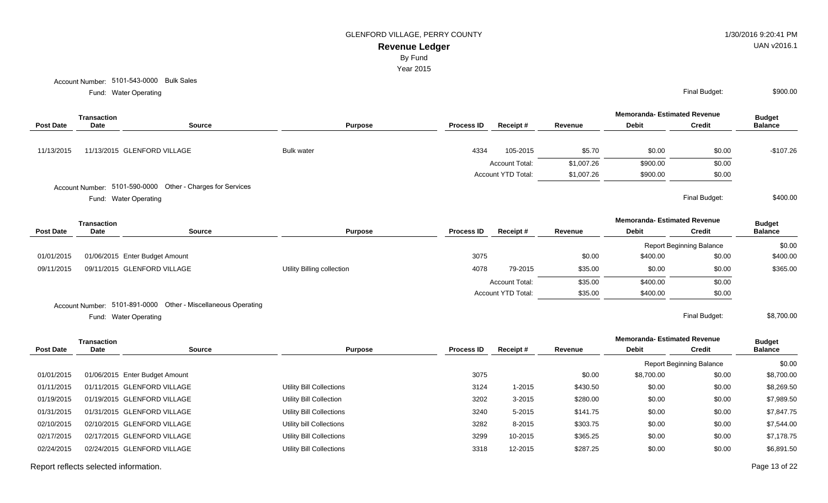GLENFORD VILLAGE, PERRY COUNTY **1/30/2016 9:20:41 PM** 

Year 2015

Account Number: 5101-543-0000 Bulk Sales

Water Operating Final Budget: Fund: Water Operating

|                  | Transaction |                                                            |                   |                   |                           |            | <b>Memoranda- Estimated Revenue</b> |               | <b>Budget</b>  |
|------------------|-------------|------------------------------------------------------------|-------------------|-------------------|---------------------------|------------|-------------------------------------|---------------|----------------|
| <b>Post Date</b> | Date        | <b>Source</b>                                              | <b>Purpose</b>    | <b>Process ID</b> | Receipt#                  | Revenue    | <b>Debit</b>                        | <b>Credit</b> | <b>Balance</b> |
| 11/13/2015       |             | 11/13/2015 GLENFORD VILLAGE                                | <b>Bulk water</b> | 4334              | 105-2015                  | \$5.70     | \$0.00                              | \$0.00        | $-$107.26$     |
|                  |             |                                                            |                   |                   | <b>Account Total:</b>     | \$1,007.26 | \$900.00                            | \$0.00        |                |
|                  |             |                                                            |                   |                   | <b>Account YTD Total:</b> | \$1,007.26 | \$900.00                            | \$0.00        |                |
|                  |             | Account Number: 5101-590-0000 Other - Charges for Services |                   |                   |                           |            |                                     |               |                |

Water Operating Final Budget: Fund: Water Operating

|                  | <b>Transaction</b>             |                                                               |                            |                   |                    |         | <b>Memoranda-Estimated Revenue</b> |                                 | <b>Budget</b><br><b>Balance</b> |
|------------------|--------------------------------|---------------------------------------------------------------|----------------------------|-------------------|--------------------|---------|------------------------------------|---------------------------------|---------------------------------|
| <b>Post Date</b> | <b>Date</b>                    | <b>Source</b>                                                 | <b>Purpose</b>             | <b>Process ID</b> | Receipt#           | Revenue | <b>Debit</b>                       | <b>Credit</b>                   |                                 |
|                  |                                |                                                               |                            |                   |                    |         |                                    | <b>Report Beginning Balance</b> | \$0.00                          |
| 01/01/2015       | 01/06/2015 Enter Budget Amount |                                                               |                            | 3075              |                    | \$0.00  | \$400.00                           | \$0.00                          | \$400.00                        |
| 09/11/2015       | 09/11/2015 GLENFORD VILLAGE    |                                                               | Utility Billing collection | 4078              | 79-2015            | \$35.00 | \$0.00                             | \$0.00                          | \$365.00                        |
|                  |                                |                                                               |                            |                   | Account Total:     | \$35.00 | \$400.00                           | \$0.00                          |                                 |
|                  |                                |                                                               |                            |                   | Account YTD Total: | \$35.00 | \$400.00                           | \$0.00                          |                                 |
|                  |                                | Account Number: 5101-891-0000 Other - Miscellaneous Operating |                            |                   |                    |         |                                    |                                 |                                 |
|                  | Fund: Water Operating          |                                                               |                            |                   |                    |         |                                    | Final Budget:                   | \$8,700.00                      |

|                  | Transaction |                                |                          |                   |            |          | <b>Memoranda-Estimated Revenue</b> |               | <b>Budget</b>  |
|------------------|-------------|--------------------------------|--------------------------|-------------------|------------|----------|------------------------------------|---------------|----------------|
| <b>Post Date</b> | <b>Date</b> | <b>Source</b>                  | <b>Purpose</b>           | <b>Process ID</b> | Receipt#   | Revenue  | <b>Debit</b>                       | <b>Credit</b> | <b>Balance</b> |
|                  |             |                                |                          |                   |            |          | <b>Report Beginning Balance</b>    |               | \$0.00         |
| 01/01/2015       |             | 01/06/2015 Enter Budget Amount |                          | 3075              |            | \$0.00   | \$8,700.00                         | \$0.00        | \$8,700.00     |
| 01/11/2015       |             | 01/11/2015 GLENFORD VILLAGE    | Utility Bill Collections | 3124              | $1 - 2015$ | \$430.50 | \$0.00                             | \$0.00        | \$8,269.50     |
| 01/19/2015       |             | 01/19/2015 GLENFORD VILLAGE    | Utility Bill Collection  | 3202              | $3 - 2015$ | \$280.00 | \$0.00                             | \$0.00        | \$7,989.50     |
| 01/31/2015       |             | 01/31/2015 GLENFORD VILLAGE    | Utility Bill Collections | 3240              | 5-2015     | \$141.75 | \$0.00                             | \$0.00        | \$7,847.75     |
| 02/10/2015       |             | 02/10/2015 GLENFORD VILLAGE    | Utility bill Collections | 3282              | 8-2015     | \$303.75 | \$0.00                             | \$0.00        | \$7,544.00     |
| 02/17/2015       |             | 02/17/2015 GLENFORD VILLAGE    | Utility Bill Collections | 3299              | 10-2015    | \$365.25 | \$0.00                             | \$0.00        | \$7,178.75     |
| 02/24/2015       |             | 02/24/2015 GLENFORD VILLAGE    | Utility Bill Collections | 3318              | 12-2015    | \$287.25 | \$0.00                             | \$0.00        | \$6,891.50     |
|                  |             |                                |                          |                   |            |          |                                    |               |                |

\$400.00

\$900.00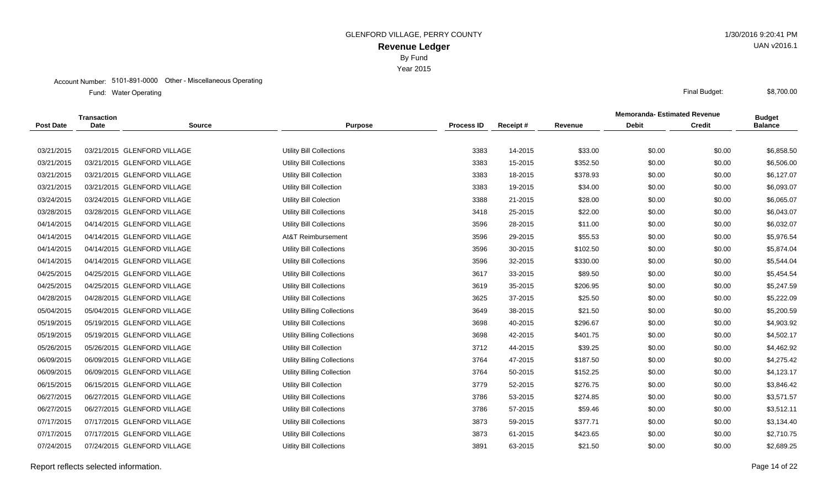Year 2015

#### Account Number: 5101-891-0000 Other - Miscellaneous Operating

Water Operating Final Budget: Fund: Water Operating

|                  | <b>Transaction</b> |                             |                                    |                   |          |          | <b>Memoranda- Estimated Revenue</b> | <b>Budget</b> |                |
|------------------|--------------------|-----------------------------|------------------------------------|-------------------|----------|----------|-------------------------------------|---------------|----------------|
| <b>Post Date</b> | <b>Date</b>        | <b>Source</b>               | <b>Purpose</b>                     | <b>Process ID</b> | Receipt# | Revenue  | <b>Debit</b>                        | <b>Credit</b> | <b>Balance</b> |
|                  |                    |                             |                                    |                   |          |          |                                     |               |                |
| 03/21/2015       |                    | 03/21/2015 GLENFORD VILLAGE | <b>Utility Bill Collections</b>    | 3383              | 14-2015  | \$33.00  | \$0.00                              | \$0.00        | \$6,858.50     |
| 03/21/2015       |                    | 03/21/2015 GLENFORD VILLAGE | <b>Utility Bill Collections</b>    | 3383              | 15-2015  | \$352.50 | \$0.00                              | \$0.00        | \$6,506.00     |
| 03/21/2015       |                    | 03/21/2015 GLENFORD VILLAGE | <b>Utility Bill Collection</b>     | 3383              | 18-2015  | \$378.93 | \$0.00                              | \$0.00        | \$6,127.07     |
| 03/21/2015       |                    | 03/21/2015 GLENFORD VILLAGE | <b>Utility Bill Collection</b>     | 3383              | 19-2015  | \$34.00  | \$0.00                              | \$0.00        | \$6,093.07     |
| 03/24/2015       |                    | 03/24/2015 GLENFORD VILLAGE | <b>Utility Bill Colection</b>      | 3388              | 21-2015  | \$28.00  | \$0.00                              | \$0.00        | \$6,065.07     |
| 03/28/2015       |                    | 03/28/2015 GLENFORD VILLAGE | Utility Bill Collections           | 3418              | 25-2015  | \$22.00  | \$0.00                              | \$0.00        | \$6,043.07     |
| 04/14/2015       |                    | 04/14/2015 GLENFORD VILLAGE | Utility Bill Collections           | 3596              | 28-2015  | \$11.00  | \$0.00                              | \$0.00        | \$6,032.07     |
| 04/14/2015       |                    | 04/14/2015 GLENFORD VILLAGE | At&T Reimbursement                 | 3596              | 29-2015  | \$55.53  | \$0.00                              | \$0.00        | \$5,976.54     |
| 04/14/2015       |                    | 04/14/2015 GLENFORD VILLAGE | Utility Bill Collections           | 3596              | 30-2015  | \$102.50 | \$0.00                              | \$0.00        | \$5,874.04     |
| 04/14/2015       |                    | 04/14/2015 GLENFORD VILLAGE | <b>Utility Bill Collections</b>    | 3596              | 32-2015  | \$330.00 | \$0.00                              | \$0.00        | \$5,544.04     |
| 04/25/2015       |                    | 04/25/2015 GLENFORD VILLAGE | <b>Utility Bill Collections</b>    | 3617              | 33-2015  | \$89.50  | \$0.00                              | \$0.00        | \$5,454.54     |
| 04/25/2015       |                    | 04/25/2015 GLENFORD VILLAGE | Utility Bill Collections           | 3619              | 35-2015  | \$206.95 | \$0.00                              | \$0.00        | \$5,247.59     |
| 04/28/2015       |                    | 04/28/2015 GLENFORD VILLAGE | <b>Utility Bill Collections</b>    | 3625              | 37-2015  | \$25.50  | \$0.00                              | \$0.00        | \$5,222.09     |
| 05/04/2015       |                    | 05/04/2015 GLENFORD VILLAGE | <b>Utility Billing Collections</b> | 3649              | 38-2015  | \$21.50  | \$0.00                              | \$0.00        | \$5,200.59     |
| 05/19/2015       |                    | 05/19/2015 GLENFORD VILLAGE | <b>Utility Bill Collections</b>    | 3698              | 40-2015  | \$296.67 | \$0.00                              | \$0.00        | \$4,903.92     |
| 05/19/2015       |                    | 05/19/2015 GLENFORD VILLAGE | Utility Billing Collections        | 3698              | 42-2015  | \$401.75 | \$0.00                              | \$0.00        | \$4,502.17     |
| 05/26/2015       |                    | 05/26/2015 GLENFORD VILLAGE | <b>Utility Bill Collection</b>     | 3712              | 44-2015  | \$39.25  | \$0.00                              | \$0.00        | \$4,462.92     |
| 06/09/2015       |                    | 06/09/2015 GLENFORD VILLAGE | <b>Utility Billing Collections</b> | 3764              | 47-2015  | \$187.50 | \$0.00                              | \$0.00        | \$4,275.42     |
| 06/09/2015       |                    | 06/09/2015 GLENFORD VILLAGE | Utility Billing Collection         | 3764              | 50-2015  | \$152.25 | \$0.00                              | \$0.00        | \$4,123.17     |
| 06/15/2015       |                    | 06/15/2015 GLENFORD VILLAGE | <b>Utility Bill Collection</b>     | 3779              | 52-2015  | \$276.75 | \$0.00                              | \$0.00        | \$3,846.42     |
| 06/27/2015       |                    | 06/27/2015 GLENFORD VILLAGE | <b>Utility Bill Collections</b>    | 3786              | 53-2015  | \$274.85 | \$0.00                              | \$0.00        | \$3,571.57     |
| 06/27/2015       |                    | 06/27/2015 GLENFORD VILLAGE | Utility Bill Collections           | 3786              | 57-2015  | \$59.46  | \$0.00                              | \$0.00        | \$3,512.11     |
| 07/17/2015       |                    | 07/17/2015 GLENFORD VILLAGE | <b>Utility Bill Collections</b>    | 3873              | 59-2015  | \$377.71 | \$0.00                              | \$0.00        | \$3,134.40     |
| 07/17/2015       |                    | 07/17/2015 GLENFORD VILLAGE | <b>Utility Bill Collections</b>    | 3873              | 61-2015  | \$423.65 | \$0.00                              | \$0.00        | \$2,710.75     |
| 07/24/2015       |                    | 07/24/2015 GLENFORD VILLAGE | <b>Uitlity Bill Collections</b>    | 3891              | 63-2015  | \$21.50  | \$0.00                              | \$0.00        | \$2,689.25     |
|                  |                    |                             |                                    |                   |          |          |                                     |               |                |

Report reflects selected information. Page 14 of 22

UAN v2016.1

\$8,700.00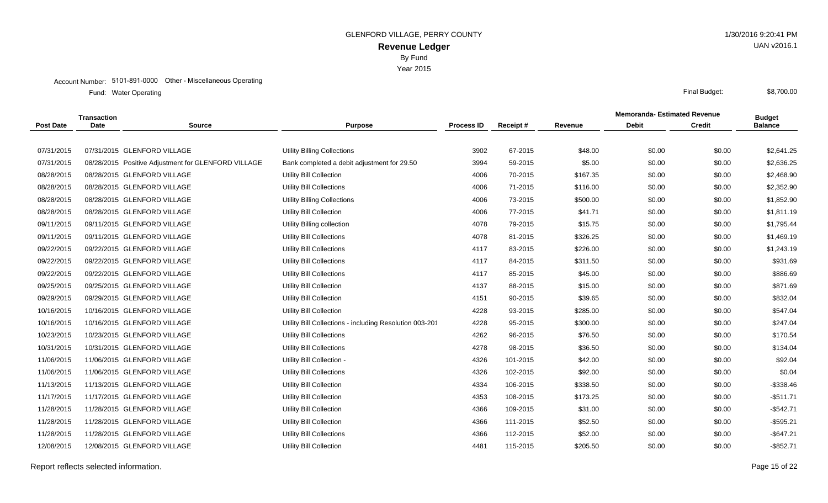Year 2015

#### Account Number: 5101-891-0000 Other - Miscellaneous Operating

Water Operating Final Budget: Fund: Water Operating

|                  | <b>Transaction</b> |                                                     |                                                         |                   |          |          | <b>Memoranda- Estimated Revenue</b> |               | <b>Budget</b>  |
|------------------|--------------------|-----------------------------------------------------|---------------------------------------------------------|-------------------|----------|----------|-------------------------------------|---------------|----------------|
| <b>Post Date</b> | <b>Date</b>        | <b>Source</b>                                       | <b>Purpose</b>                                          | <b>Process ID</b> | Receipt# | Revenue  | <b>Debit</b>                        | <b>Credit</b> | <b>Balance</b> |
|                  |                    |                                                     |                                                         |                   |          |          |                                     |               |                |
| 07/31/2015       |                    | 07/31/2015 GLENFORD VILLAGE                         | <b>Utility Billing Collections</b>                      | 3902              | 67-2015  | \$48.00  | \$0.00                              | \$0.00        | \$2,641.25     |
| 07/31/2015       |                    | 08/28/2015 Positive Adjustment for GLENFORD VILLAGE | Bank completed a debit adjustment for 29.50             | 3994              | 59-2015  | \$5.00   | \$0.00                              | \$0.00        | \$2,636.25     |
| 08/28/2015       |                    | 08/28/2015 GLENFORD VILLAGE                         | <b>Utility Bill Collection</b>                          | 4006              | 70-2015  | \$167.35 | \$0.00                              | \$0.00        | \$2,468.90     |
| 08/28/2015       |                    | 08/28/2015 GLENFORD VILLAGE                         | Utility Bill Collections                                | 4006              | 71-2015  | \$116.00 | \$0.00                              | \$0.00        | \$2,352.90     |
| 08/28/2015       |                    | 08/28/2015 GLENFORD VILLAGE                         | <b>Utility Billing Collections</b>                      | 4006              | 73-2015  | \$500.00 | \$0.00                              | \$0.00        | \$1,852.90     |
| 08/28/2015       |                    | 08/28/2015 GLENFORD VILLAGE                         | Utility Bill Collection                                 | 4006              | 77-2015  | \$41.71  | \$0.00                              | \$0.00        | \$1,811.19     |
| 09/11/2015       |                    | 09/11/2015 GLENFORD VILLAGE                         | Utility Billing collection                              | 4078              | 79-2015  | \$15.75  | \$0.00                              | \$0.00        | \$1,795.44     |
| 09/11/2015       |                    | 09/11/2015 GLENFORD VILLAGE                         | <b>Utility Bill Collections</b>                         | 4078              | 81-2015  | \$326.25 | \$0.00                              | \$0.00        | \$1,469.19     |
| 09/22/2015       |                    | 09/22/2015 GLENFORD VILLAGE                         | <b>Utility Bill Collections</b>                         | 4117              | 83-2015  | \$226.00 | \$0.00                              | \$0.00        | \$1,243.19     |
| 09/22/2015       |                    | 09/22/2015 GLENFORD VILLAGE                         | Utility Bill Collections                                | 4117              | 84-2015  | \$311.50 | \$0.00                              | \$0.00        | \$931.69       |
| 09/22/2015       |                    | 09/22/2015 GLENFORD VILLAGE                         | Utility Bill Collections                                | 4117              | 85-2015  | \$45.00  | \$0.00                              | \$0.00        | \$886.69       |
| 09/25/2015       |                    | 09/25/2015 GLENFORD VILLAGE                         | <b>Utility Bill Collection</b>                          | 4137              | 88-2015  | \$15.00  | \$0.00                              | \$0.00        | \$871.69       |
| 09/29/2015       |                    | 09/29/2015 GLENFORD VILLAGE                         | <b>Utility Bill Collection</b>                          | 4151              | 90-2015  | \$39.65  | \$0.00                              | \$0.00        | \$832.04       |
| 10/16/2015       |                    | 10/16/2015 GLENFORD VILLAGE                         | <b>Utility Bill Collection</b>                          | 4228              | 93-2015  | \$285.00 | \$0.00                              | \$0.00        | \$547.04       |
| 10/16/2015       |                    | 10/16/2015 GLENFORD VILLAGE                         | Utility Bill Collections - including Resolution 003-201 | 4228              | 95-2015  | \$300.00 | \$0.00                              | \$0.00        | \$247.04       |
| 10/23/2015       |                    | 10/23/2015 GLENFORD VILLAGE                         | Utility Bill Collections                                | 4262              | 96-2015  | \$76.50  | \$0.00                              | \$0.00        | \$170.54       |
| 10/31/2015       |                    | 10/31/2015 GLENFORD VILLAGE                         | Utility Bill Collections                                | 4278              | 98-2015  | \$36.50  | \$0.00                              | \$0.00        | \$134.04       |
| 11/06/2015       |                    | 11/06/2015 GLENFORD VILLAGE                         | Utility Bill Collection -                               | 4326              | 101-2015 | \$42.00  | \$0.00                              | \$0.00        | \$92.04        |
| 11/06/2015       |                    | 11/06/2015 GLENFORD VILLAGE                         | <b>Utility Bill Collections</b>                         | 4326              | 102-2015 | \$92.00  | \$0.00                              | \$0.00        | \$0.04         |
| 11/13/2015       |                    | 11/13/2015 GLENFORD VILLAGE                         | Utility Bill Collection                                 | 4334              | 106-2015 | \$338.50 | \$0.00                              | \$0.00        | $-$338.46$     |
| 11/17/2015       |                    | 11/17/2015 GLENFORD VILLAGE                         | <b>Utility Bill Collection</b>                          | 4353              | 108-2015 | \$173.25 | \$0.00                              | \$0.00        | $-$511.71$     |
| 11/28/2015       |                    | 11/28/2015 GLENFORD VILLAGE                         | <b>Utility Bill Collection</b>                          | 4366              | 109-2015 | \$31.00  | \$0.00                              | \$0.00        | $-$542.71$     |
| 11/28/2015       |                    | 11/28/2015 GLENFORD VILLAGE                         | Utility Bill Collection                                 | 4366              | 111-2015 | \$52.50  | \$0.00                              | \$0.00        | $-$595.21$     |
| 11/28/2015       |                    | 11/28/2015 GLENFORD VILLAGE                         | <b>Utility Bill Collections</b>                         | 4366              | 112-2015 | \$52.00  | \$0.00                              | \$0.00        | $-$647.21$     |
| 12/08/2015       |                    | 12/08/2015 GLENFORD VILLAGE                         | <b>Utility Bill Collection</b>                          | 4481              | 115-2015 | \$205.50 | \$0.00                              | \$0.00        | $-$ \$852.71   |

Report reflects selected information. Page 15 of 22

UAN v2016.1

\$8,700.00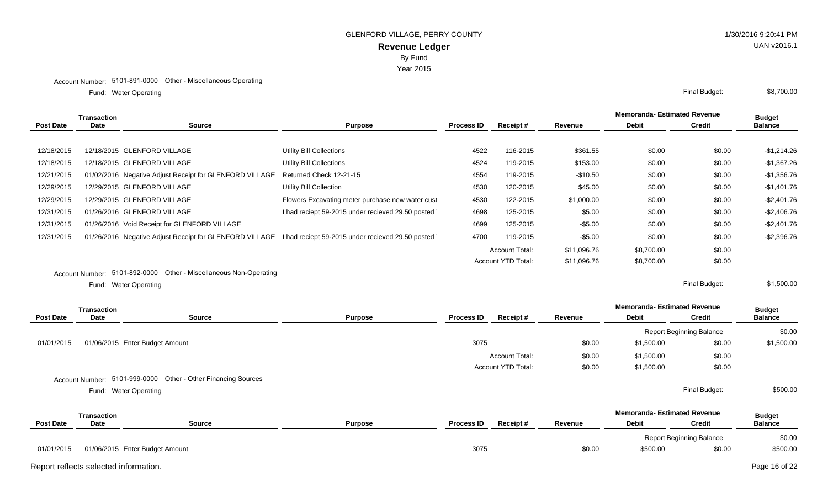Water Operating Final Budget: Fund: Water Operating

|                  | <b>Transaction</b> |                                                                                                           |                                                   |                   |                       |             | <b>Memoranda- Estimated Revenue</b> |               | <b>Budget</b>  |
|------------------|--------------------|-----------------------------------------------------------------------------------------------------------|---------------------------------------------------|-------------------|-----------------------|-------------|-------------------------------------|---------------|----------------|
| <b>Post Date</b> | <b>Date</b>        | <b>Source</b>                                                                                             | <b>Purpose</b>                                    | <b>Process ID</b> | Receipt #             | Revenue     | <b>Debit</b>                        | Credit        | <b>Balance</b> |
|                  |                    |                                                                                                           |                                                   |                   |                       |             |                                     |               |                |
| 12/18/2015       |                    | 12/18/2015 GLENFORD VILLAGE                                                                               | <b>Utility Bill Collections</b>                   | 4522              | 116-2015              | \$361.55    | \$0.00                              | \$0.00        | $-$1,214.26$   |
| 12/18/2015       |                    | 12/18/2015 GLENFORD VILLAGE                                                                               | <b>Utility Bill Collections</b>                   | 4524              | 119-2015              | \$153.00    | \$0.00                              | \$0.00        | $-$1,367.26$   |
| 12/21/2015       |                    | 01/02/2016 Negative Adjust Receipt for GLENFORD VILLAGE Returned Check 12-21-15                           |                                                   | 4554              | 119-2015              | $-$10.50$   | \$0.00                              | \$0.00        | $-$1,356.76$   |
| 12/29/2015       |                    | 12/29/2015 GLENFORD VILLAGE                                                                               | <b>Utility Bill Collection</b>                    | 4530              | 120-2015              | \$45.00     | \$0.00                              | \$0.00        | -\$1,401.76    |
| 12/29/2015       |                    | 12/29/2015 GLENFORD VILLAGE                                                                               | Flowers Excavating meter purchase new water cust  | 4530              | 122-2015              | \$1,000.00  | \$0.00                              | \$0.00        | $-$ \$2,401.76 |
| 12/31/2015       |                    | 01/26/2016 GLENFORD VILLAGE                                                                               | I had reciept 59-2015 under recieved 29.50 posted | 4698              | 125-2015              | \$5.00      | \$0.00                              | \$0.00        | $-$2,406.76$   |
| 12/31/2015       |                    | 01/26/2016 Void Receipt for GLENFORD VILLAGE                                                              |                                                   | 4699              | 125-2015              | $-$ \$5.00  | \$0.00                              | \$0.00        | $-$2,401.76$   |
| 12/31/2015       |                    | 01/26/2016 Negative Adjust Receipt for GLENFORD VILLAGE I had reciept 59-2015 under recieved 29.50 posted |                                                   | 4700              | 119-2015              | $-$ \$5.00  | \$0.00                              | \$0.00        | $-$2,396.76$   |
|                  |                    |                                                                                                           |                                                   |                   | <b>Account Total:</b> | \$11,096.76 | \$8,700.00                          | \$0.00        |                |
|                  |                    |                                                                                                           |                                                   |                   | Account YTD Total:    | \$11,096.76 | \$8,700.00                          | \$0.00        |                |
|                  |                    | Account Number: 5101-892-0000 Other - Miscellaneous Non-Operating                                         |                                                   |                   |                       |             |                                     |               |                |
|                  |                    | Fund: Water Operating                                                                                     |                                                   |                   |                       |             |                                     | Final Budget: | \$1,500.00     |

Water Operating Final Budget: Fund: Water Operating

|            | <b>Transaction</b> |                                                               |                |                   |                           |         | <b>Memoranda-Estimated Revenue</b>  |                                 | <b>Budget</b>  |
|------------|--------------------|---------------------------------------------------------------|----------------|-------------------|---------------------------|---------|-------------------------------------|---------------------------------|----------------|
| Post Date  | Date               | <b>Source</b>                                                 | <b>Purpose</b> | <b>Process ID</b> | Receipt#                  | Revenue | <b>Debit</b>                        | <b>Credit</b>                   | <b>Balance</b> |
|            |                    |                                                               |                |                   |                           |         |                                     | <b>Report Beginning Balance</b> | \$0.00         |
| 01/01/2015 |                    | 01/06/2015 Enter Budget Amount                                |                | 3075              |                           | \$0.00  | \$1,500.00                          | \$0.00                          | \$1,500.00     |
|            |                    |                                                               |                |                   | <b>Account Total:</b>     | \$0.00  | \$1,500.00                          | \$0.00                          |                |
|            |                    |                                                               |                |                   | <b>Account YTD Total:</b> | \$0.00  | \$1,500.00                          | \$0.00                          |                |
|            |                    | Account Number: 5101-999-0000 Other - Other Financing Sources |                |                   |                           |         |                                     |                                 |                |
|            |                    | Fund: Water Operating                                         |                |                   |                           |         |                                     | Final Budget:                   | \$500.00       |
|            | <b>Transaction</b> |                                                               |                |                   |                           |         | <b>Memoranda- Estimated Revenue</b> |                                 | <b>Budget</b>  |
| Post Date  | Date               | Source                                                        | <b>Purpose</b> | <b>Process ID</b> | Receipt#                  | Revenue | <b>Debit</b>                        | <b>Credit</b>                   | <b>Balance</b> |
|            |                    |                                                               |                |                   |                           |         |                                     | <b>Report Beginning Balance</b> | \$0.00         |
| 01/01/2015 |                    | 01/06/2015 Enter Budget Amount                                |                | 3075              |                           | \$0.00  | \$500.00                            | \$0.00                          | \$500.00       |

Report reflects selected information. Page 16 of 22

UAN v2016.1

\$8,700.00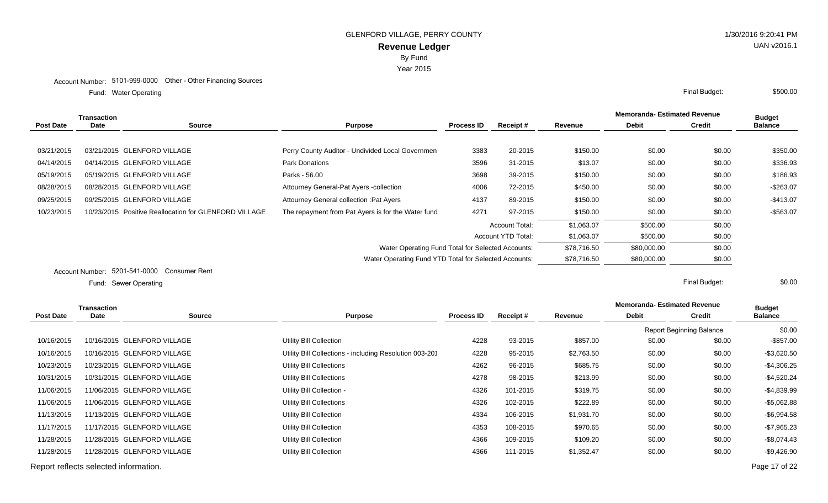Water Operating Final Budget: Fund: Water Operating

|                  | <b>Transaction</b> |                                                       |                                                       |                   |                           | <b>Memoranda-Estimated Revenue</b> |              |               | <b>Budget</b>  |
|------------------|--------------------|-------------------------------------------------------|-------------------------------------------------------|-------------------|---------------------------|------------------------------------|--------------|---------------|----------------|
| <b>Post Date</b> | Date               | <b>Source</b>                                         | <b>Purpose</b>                                        | <b>Process ID</b> | Receipt#                  | Revenue                            | <b>Debit</b> | <b>Credit</b> | <b>Balance</b> |
|                  |                    |                                                       |                                                       |                   |                           |                                    |              |               |                |
| 03/21/2015       |                    | 03/21/2015 GLENFORD VILLAGE                           | Perry County Auditor - Undivided Local Governmen      | 3383              | 20-2015                   | \$150.00                           | \$0.00       | \$0.00        | \$350.00       |
| 04/14/2015       |                    | 04/14/2015 GLENFORD VILLAGE                           | <b>Park Donations</b>                                 | 3596              | 31-2015                   | \$13.07                            | \$0.00       | \$0.00        | \$336.93       |
| 05/19/2015       |                    | 05/19/2015 GLENFORD VILLAGE                           | Parks - 56.00                                         | 3698              | 39-2015                   | \$150.00                           | \$0.00       | \$0.00        | \$186.93       |
| 08/28/2015       |                    | 08/28/2015 GLENFORD VILLAGE                           | Attourney General-Pat Ayers -collection               | 4006              | 72-2015                   | \$450.00                           | \$0.00       | \$0.00        | $-$263.07$     |
| 09/25/2015       |                    | 09/25/2015 GLENFORD VILLAGE                           | Attourney General collection : Pat Ayers              | 4137              | 89-2015                   | \$150.00                           | \$0.00       | \$0.00        | $-$413.07$     |
| 10/23/2015       |                    | 10/23/2015 Positive Reallocation for GLENFORD VILLAGE | The repayment from Pat Ayers is for the Water func    | 4271              | 97-2015                   | \$150.00                           | \$0.00       | \$0.00        | $-$563.07$     |
|                  |                    |                                                       |                                                       |                   | <b>Account Total:</b>     | \$1,063.07                         | \$500.00     | \$0.00        |                |
|                  |                    |                                                       |                                                       |                   | <b>Account YTD Total:</b> | \$1,063.07                         | \$500.00     | \$0.00        |                |
|                  |                    |                                                       | Water Operating Fund Total for Selected Accounts:     |                   |                           | \$78,716.50                        | \$80,000.00  | \$0.00        |                |
|                  |                    |                                                       | Water Operating Fund YTD Total for Selected Accounts: |                   |                           | \$78,716.50                        | \$80,000.00  | \$0.00        |                |
|                  |                    | Assembly Number 5201541,0000 Consumer Pont            |                                                       |                   |                           |                                    |              |               |                |

Account Number: 5201-541-0000 Consumer Rent

Sewer Operating Final Budget: Fund: Sewer Operating

|                  | Transaction                           |                             |                                                        |                   |          |            | <b>Memoranda-Estimated Revenue</b> | <b>Budget</b>                   |                |
|------------------|---------------------------------------|-----------------------------|--------------------------------------------------------|-------------------|----------|------------|------------------------------------|---------------------------------|----------------|
| <b>Post Date</b> | Date                                  | Source                      | <b>Purpose</b>                                         | <b>Process ID</b> | Receipt# | Revenue    | <b>Debit</b>                       | <b>Credit</b>                   | <b>Balance</b> |
|                  |                                       |                             |                                                        |                   |          |            |                                    | <b>Report Beginning Balance</b> | \$0.00         |
| 10/16/2015       |                                       | 10/16/2015 GLENFORD VILLAGE | Utility Bill Collection                                | 4228              | 93-2015  | \$857.00   | \$0.00                             | \$0.00                          | -\$857.00      |
| 10/16/2015       |                                       | 10/16/2015 GLENFORD VILLAGE | Utility Bill Collections - including Resolution 003-20 | 4228              | 95-2015  | \$2,763.50 | \$0.00                             | \$0.00                          | -\$3,620.50    |
| 10/23/2015       |                                       | 10/23/2015 GLENFORD VILLAGE | Utility Bill Collections                               | 4262              | 96-2015  | \$685.75   | \$0.00                             | \$0.00                          | -\$4,306.25    |
| 10/31/2015       |                                       | 10/31/2015 GLENFORD VILLAGE | Utility Bill Collections                               | 4278              | 98-2015  | \$213.99   | \$0.00                             | \$0.00                          | $-$4,520.24$   |
| 11/06/2015       |                                       | 11/06/2015 GLENFORD VILLAGE | Utility Bill Collection -                              | 4326              | 101-2015 | \$319.75   | \$0.00                             | \$0.00                          | $-$4,839.99$   |
| 11/06/2015       |                                       | 11/06/2015 GLENFORD VILLAGE | Utility Bill Collections                               | 4326              | 102-2015 | \$222.89   | \$0.00                             | \$0.00                          | -\$5,062.88    |
| 11/13/2015       |                                       | 11/13/2015 GLENFORD VILLAGE | Utility Bill Collection                                | 4334              | 106-2015 | \$1,931.70 | \$0.00                             | \$0.00                          | $-$ \$6,994.58 |
| 11/17/2015       |                                       | 11/17/2015 GLENFORD VILLAGE | Utility Bill Collection                                | 4353              | 108-2015 | \$970.65   | \$0.00                             | \$0.00                          | $-$7,965.23$   |
| 11/28/2015       |                                       | 11/28/2015 GLENFORD VILLAGE | Utility Bill Collection                                | 4366              | 109-2015 | \$109.20   | \$0.00                             | \$0.00                          | $-$ \$8,074.43 |
| 11/28/2015       |                                       | 11/28/2015 GLENFORD VILLAGE | Utility Bill Collection                                | 4366              | 111-2015 | \$1,352.47 | \$0.00                             | \$0.00                          | -\$9,426.90    |
|                  | Report reflects selected information. |                             |                                                        |                   |          |            |                                    |                                 | Page 17 of 22  |

\$0.00

UAN v2016.1

\$500.00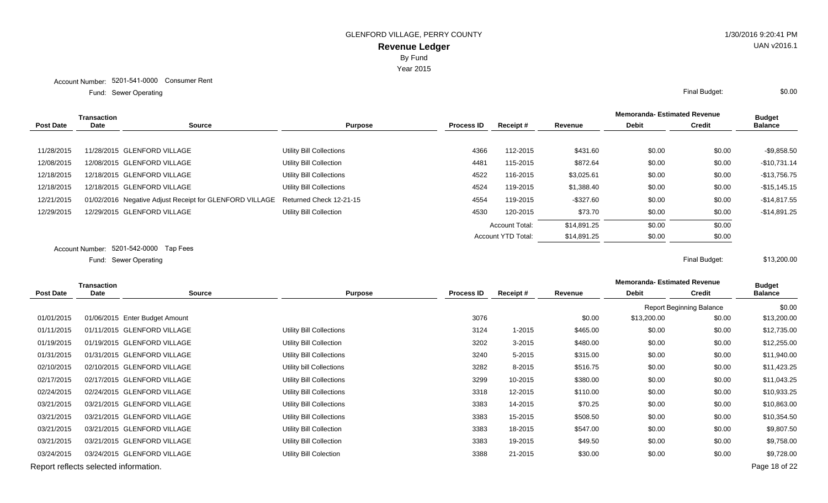Year 2015

Sewer Operating Final Budget: Fund: Sewer Operating

|                  | <b>Transaction</b> |                                                         |                          |                   |                           |              | <b>Memoranda- Estimated Revenue</b> |               | <b>Budget</b>  |
|------------------|--------------------|---------------------------------------------------------|--------------------------|-------------------|---------------------------|--------------|-------------------------------------|---------------|----------------|
| <b>Post Date</b> | Date               | Source                                                  | <b>Purpose</b>           | <b>Process ID</b> | Receipt#                  | Revenue      | <b>Debit</b>                        | <b>Credit</b> | <b>Balance</b> |
|                  |                    |                                                         |                          |                   |                           |              |                                     |               |                |
| 11/28/2015       |                    | 11/28/2015 GLENFORD VILLAGE                             | Utility Bill Collections | 4366              | 112-2015                  | \$431.60     | \$0.00                              | \$0.00        | $-$9,858.50$   |
| 12/08/2015       |                    | 12/08/2015 GLENFORD VILLAGE                             | Utility Bill Collection  | 4481              | 115-2015                  | \$872.64     | \$0.00                              | \$0.00        | $-$10,731.14$  |
| 12/18/2015       |                    | 12/18/2015 GLENFORD VILLAGE                             | Utility Bill Collections | 4522              | 116-2015                  | \$3,025.61   | \$0.00                              | \$0.00        | $-$13,756.75$  |
| 12/18/2015       |                    | 12/18/2015 GLENFORD VILLAGE                             | Utility Bill Collections | 4524              | 119-2015                  | \$1,388.40   | \$0.00                              | \$0.00        | $-$15,145.15$  |
| 12/21/2015       |                    | 01/02/2016 Negative Adjust Receipt for GLENFORD VILLAGE | Returned Check 12-21-15  | 4554              | 119-2015                  | $-$ \$327.60 | \$0.00                              | \$0.00        | $-$14,817.55$  |
| 12/29/2015       |                    | 12/29/2015 GLENFORD VILLAGE                             | Utility Bill Collection  | 4530              | 120-2015                  | \$73.70      | \$0.00                              | \$0.00        | $-$14,891.25$  |
|                  |                    |                                                         |                          |                   | <b>Account Total:</b>     | \$14,891.25  | \$0.00                              | \$0.00        |                |
|                  |                    |                                                         |                          |                   | <b>Account YTD Total:</b> | \$14,891.25  | \$0.00                              | \$0.00        |                |
|                  |                    | Account Number: 5201-542-0000 Tap Fees                  |                          |                   |                           |              |                                     |               |                |
|                  |                    | Fund: Sewer Operating                                   |                          |                   |                           |              |                                     | Final Budget: | \$13,200.00    |

**Source Purpose Process ID Receipt # Revenue Debit Transaction Post Date Date Budget Credit Balance** Report Beginning Balance \$0.00 01/01/2015 01/06/2015 Enter Budget Amount 2002 2002 3076 3076 50.00 \$13,200.00 \$13,200.00 \$13,200.00 01/11/2015 01/11/2015 GLENFORD VILLAGE Utility Bill Collections Collections 3124 1-2015 \$465.00 \$0.00 \$0.00 \$12,735.00 01/19/2015 01/19/2015 GLENFORD VILLAGE Utility Bill Collection 3202 3-2015 \$480.00 \$0.00 \$0.00 \$12,255.00 01/31/2015 01/31/2015 GLENFORD VILLAGE Utility Bill Collections Collections 3240 5-2015 \$315.00 \$0.00 \$0.00 \$11,940.00 02/10/2015 02/10/2015 GLENFORD VILLAGE 
Utility bill Collections 
3282 8-2015 \$516.75 \$0.00 \$0.00 \$11,423.25 02/17/2015 02/17/2015 GLENFORD VILLAGE Utility Bill Collections Collections 3299 10-2015 \$380.00 \$0.00 \$0.00 \$11,043.25 02/24/2015 02/24/2015 GLENFORD VILLAGE Utility Bill Collections Collections 3318 12-2015 \$110.00 \$0.00 \$0.00 \$10,933.25 03/21/2015 03/21/2015 GLENFORD VILLAGE 
Utility Bill Collections 
3383 14-2015 \$70.25 \$0.00 \$10,863.00 \$10,863.00 03/21/2015 03/21/2015 GLENFORD VILLAGE Utility Bill Collections Collections 3383 15-2015 \$508.50 \$0.00 \$10,354.50 03/21/2015 03/21/2015 GLENFORD VILLAGE Utility Bill Collection 3383 18-2015 \$547.00 \$0.00 \$0.00 \$9,807.50 03/21/2015 03/21/2015 GLENFORD VILLAGE **We Utility Bill Collection** 3383 19-2015 \$49.50 \$0.00 \$9,758.00 \$9,758.00 03/24/2015 03/24/2015 GLENFORD VILLAGE **And Multiput District Colection** 3388 21-2015 \$30.00 \$9,728.00 \$9,728.00

Report reflects selected information. Page 18 of 22

**Memoranda- Estimated Revenue**

\$0.00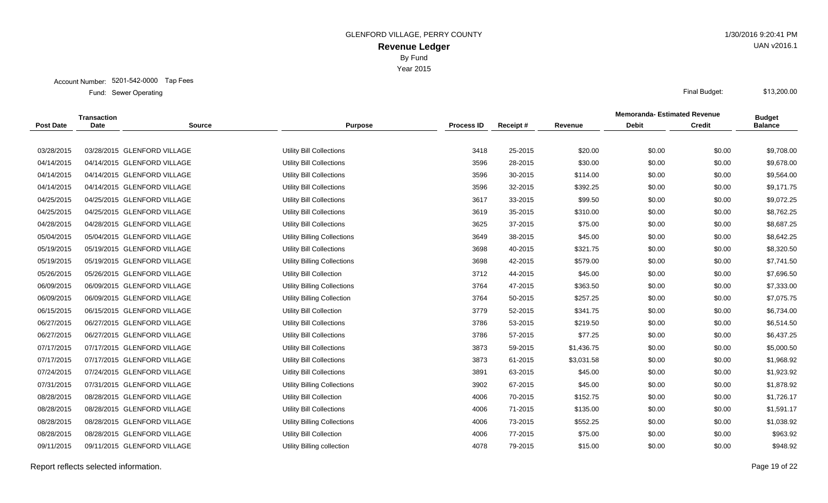Account Number: 5201-542-0000 Tap Fees

Sewer Operating Final Budget: Fund: Sewer Operating

|                  | Transaction |                             |                                    |                   |          |            | <b>Memoranda-Estimated Revenue</b> |               | <b>Budget</b>  |
|------------------|-------------|-----------------------------|------------------------------------|-------------------|----------|------------|------------------------------------|---------------|----------------|
| <b>Post Date</b> | <b>Date</b> | <b>Source</b>               | <b>Purpose</b>                     | <b>Process ID</b> | Receipt# | Revenue    | <b>Debit</b>                       | <b>Credit</b> | <b>Balance</b> |
|                  |             |                             |                                    |                   |          |            |                                    |               |                |
| 03/28/2015       |             | 03/28/2015 GLENFORD VILLAGE | Utility Bill Collections           | 3418              | 25-2015  | \$20.00    | \$0.00                             | \$0.00        | \$9,708.00     |
| 04/14/2015       |             | 04/14/2015 GLENFORD VILLAGE | Utility Bill Collections           | 3596              | 28-2015  | \$30.00    | \$0.00                             | \$0.00        | \$9,678.00     |
| 04/14/2015       |             | 04/14/2015 GLENFORD VILLAGE | Utility Bill Collections           | 3596              | 30-2015  | \$114.00   | \$0.00                             | \$0.00        | \$9,564.00     |
| 04/14/2015       |             | 04/14/2015 GLENFORD VILLAGE | Utility Bill Collections           | 3596              | 32-2015  | \$392.25   | \$0.00                             | \$0.00        | \$9,171.75     |
| 04/25/2015       |             | 04/25/2015 GLENFORD VILLAGE | <b>Utility Bill Collections</b>    | 3617              | 33-2015  | \$99.50    | \$0.00                             | \$0.00        | \$9,072.25     |
| 04/25/2015       |             | 04/25/2015 GLENFORD VILLAGE | Utility Bill Collections           | 3619              | 35-2015  | \$310.00   | \$0.00                             | \$0.00        | \$8,762.25     |
| 04/28/2015       |             | 04/28/2015 GLENFORD VILLAGE | Utility Bill Collections           | 3625              | 37-2015  | \$75.00    | \$0.00                             | \$0.00        | \$8,687.25     |
| 05/04/2015       |             | 05/04/2015 GLENFORD VILLAGE | <b>Utility Billing Collections</b> | 3649              | 38-2015  | \$45.00    | \$0.00                             | \$0.00        | \$8,642.25     |
| 05/19/2015       |             | 05/19/2015 GLENFORD VILLAGE | <b>Utility Bill Collections</b>    | 3698              | 40-2015  | \$321.75   | \$0.00                             | \$0.00        | \$8,320.50     |
| 05/19/2015       |             | 05/19/2015 GLENFORD VILLAGE | <b>Utility Billing Collections</b> | 3698              | 42-2015  | \$579.00   | \$0.00                             | \$0.00        | \$7,741.50     |
| 05/26/2015       |             | 05/26/2015 GLENFORD VILLAGE | <b>Utility Bill Collection</b>     | 3712              | 44-2015  | \$45.00    | \$0.00                             | \$0.00        | \$7,696.50     |
| 06/09/2015       |             | 06/09/2015 GLENFORD VILLAGE | <b>Utility Billing Collections</b> | 3764              | 47-2015  | \$363.50   | \$0.00                             | \$0.00        | \$7,333.00     |
| 06/09/2015       |             | 06/09/2015 GLENFORD VILLAGE | <b>Utility Billing Collection</b>  | 3764              | 50-2015  | \$257.25   | \$0.00                             | \$0.00        | \$7,075.75     |
| 06/15/2015       |             | 06/15/2015 GLENFORD VILLAGE | <b>Utility Bill Collection</b>     | 3779              | 52-2015  | \$341.75   | \$0.00                             | \$0.00        | \$6,734.00     |
| 06/27/2015       |             | 06/27/2015 GLENFORD VILLAGE | <b>Utility Bill Collections</b>    | 3786              | 53-2015  | \$219.50   | \$0.00                             | \$0.00        | \$6,514.50     |
| 06/27/2015       |             | 06/27/2015 GLENFORD VILLAGE | <b>Utility Bill Collections</b>    | 3786              | 57-2015  | \$77.25    | \$0.00                             | \$0.00        | \$6,437.25     |
| 07/17/2015       |             | 07/17/2015 GLENFORD VILLAGE | Utility Bill Collections           | 3873              | 59-2015  | \$1,436.75 | \$0.00                             | \$0.00        | \$5,000.50     |
| 07/17/2015       |             | 07/17/2015 GLENFORD VILLAGE | Utility Bill Collections           | 3873              | 61-2015  | \$3,031.58 | \$0.00                             | \$0.00        | \$1,968.92     |
| 07/24/2015       |             | 07/24/2015 GLENFORD VILLAGE | <b>Uitlity Bill Collections</b>    | 3891              | 63-2015  | \$45.00    | \$0.00                             | \$0.00        | \$1,923.92     |
| 07/31/2015       |             | 07/31/2015 GLENFORD VILLAGE | <b>Utility Billing Collections</b> | 3902              | 67-2015  | \$45.00    | \$0.00                             | \$0.00        | \$1,878.92     |
| 08/28/2015       |             | 08/28/2015 GLENFORD VILLAGE | Utility Bill Collection            | 4006              | 70-2015  | \$152.75   | \$0.00                             | \$0.00        | \$1,726.17     |
| 08/28/2015       |             | 08/28/2015 GLENFORD VILLAGE | Utility Bill Collections           | 4006              | 71-2015  | \$135.00   | \$0.00                             | \$0.00        | \$1,591.17     |
| 08/28/2015       |             | 08/28/2015 GLENFORD VILLAGE | <b>Utility Billing Collections</b> | 4006              | 73-2015  | \$552.25   | \$0.00                             | \$0.00        | \$1,038.92     |
| 08/28/2015       |             | 08/28/2015 GLENFORD VILLAGE | <b>Utility Bill Collection</b>     | 4006              | 77-2015  | \$75.00    | \$0.00                             | \$0.00        | \$963.92       |
| 09/11/2015       |             | 09/11/2015 GLENFORD VILLAGE | Utility Billing collection         | 4078              | 79-2015  | \$15.00    | \$0.00                             | \$0.00        | \$948.92       |
|                  |             |                             |                                    |                   |          |            |                                    |               |                |

Report reflects selected information. Page 19 of 22

UAN v2016.1

\$13,200.00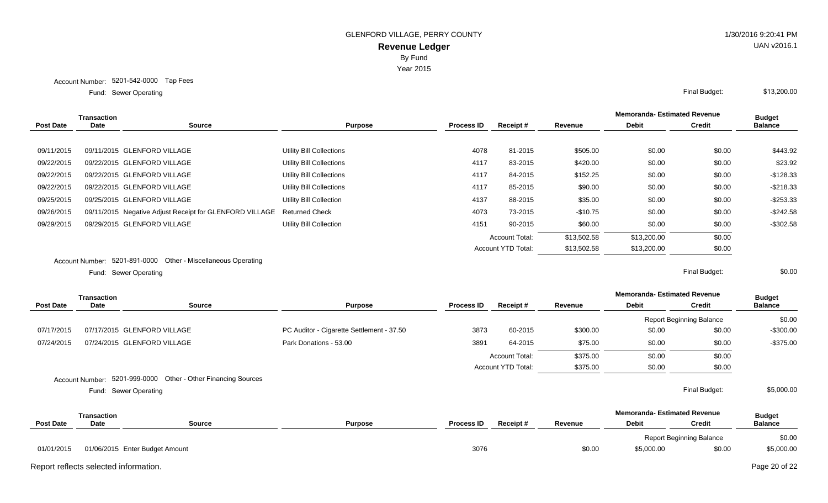Year 2015

Account Number: 5201-542-0000 Tap Fees

Sewer Operating Final Budget: Fund: Sewer Operating

|                  | <b>Transaction</b>            |                                                         |                                |                   |                           |             | <b>Memoranda- Estimated Revenue</b> |               | <b>Budget</b>  |
|------------------|-------------------------------|---------------------------------------------------------|--------------------------------|-------------------|---------------------------|-------------|-------------------------------------|---------------|----------------|
| <b>Post Date</b> | Date                          | Source                                                  | <b>Purpose</b>                 | <b>Process ID</b> | Receipt#                  | Revenue     | <b>Debit</b>                        | <b>Credit</b> | <b>Balance</b> |
|                  |                               |                                                         |                                |                   |                           |             |                                     |               |                |
| 09/11/2015       |                               | 09/11/2015 GLENFORD VILLAGE                             | Utility Bill Collections       | 4078              | 81-2015                   | \$505.00    | \$0.00                              | \$0.00        | \$443.92       |
| 09/22/2015       |                               | 09/22/2015 GLENFORD VILLAGE                             | Utility Bill Collections       | 4117              | 83-2015                   | \$420.00    | \$0.00                              | \$0.00        | \$23.92        |
| 09/22/2015       |                               | 09/22/2015 GLENFORD VILLAGE                             | Utility Bill Collections       | 4117              | 84-2015                   | \$152.25    | \$0.00                              | \$0.00        | $-$128.33$     |
| 09/22/2015       |                               | 09/22/2015 GLENFORD VILLAGE                             | Utility Bill Collections       | 4117              | 85-2015                   | \$90.00     | \$0.00                              | \$0.00        | $-$218.33$     |
| 09/25/2015       |                               | 09/25/2015 GLENFORD VILLAGE                             | <b>Utility Bill Collection</b> | 4137              | 88-2015                   | \$35.00     | \$0.00                              | \$0.00        | $-$253.33$     |
| 09/26/2015       |                               | 09/11/2015 Negative Adjust Receipt for GLENFORD VILLAGE | <b>Returned Check</b>          | 4073              | 73-2015                   | -\$10.75    | \$0.00                              | \$0.00        | $-$242.58$     |
| 09/29/2015       |                               | 09/29/2015 GLENFORD VILLAGE                             | <b>Utility Bill Collection</b> | 4151              | 90-2015                   | \$60.00     | \$0.00                              | \$0.00        | $-$302.58$     |
|                  |                               |                                                         |                                |                   | <b>Account Total:</b>     | \$13,502.58 | \$13,200.00                         | \$0.00        |                |
|                  |                               |                                                         |                                |                   | <b>Account YTD Total:</b> | \$13,502.58 | \$13,200.00                         | \$0.00        |                |
|                  | Account Number: 5201-891-0000 | Other - Miscellaneous Operating                         |                                |                   |                           |             |                                     |               |                |

Sewer Operating Final Budget: Fund: Sewer Operating

\$0.00

|                  | Transaction                           |                                               |                                           |                   |                    |          | <b>Memoranda- Estimated Revenue</b> |                                 | <b>Budget</b>  |
|------------------|---------------------------------------|-----------------------------------------------|-------------------------------------------|-------------------|--------------------|----------|-------------------------------------|---------------------------------|----------------|
| <b>Post Date</b> | Date                                  | Source                                        | <b>Purpose</b>                            | <b>Process ID</b> | Receipt#           | Revenue  | <b>Debit</b>                        | <b>Credit</b>                   | <b>Balance</b> |
|                  |                                       |                                               |                                           |                   |                    |          |                                     | <b>Report Beginning Balance</b> | \$0.00         |
| 07/17/2015       |                                       | 07/17/2015 GLENFORD VILLAGE                   | PC Auditor - Cigarette Settlement - 37.50 | 3873              | 60-2015            | \$300.00 | \$0.00                              | \$0.00                          | -\$300.00      |
| 07/24/2015       |                                       | 07/24/2015 GLENFORD VILLAGE                   | Park Donations - 53.00                    | 3891              | 64-2015            | \$75.00  | \$0.00                              | \$0.00                          | -\$375.00      |
|                  |                                       |                                               |                                           |                   | Account Total:     | \$375.00 | \$0.00                              | \$0.00                          |                |
|                  |                                       |                                               |                                           |                   | Account YTD Total: | \$375.00 | \$0.00                              | \$0.00                          |                |
|                  | Account Number:                       | 5201-999-0000 Other - Other Financing Sources |                                           |                   |                    |          |                                     |                                 |                |
|                  |                                       | Fund: Sewer Operating                         |                                           |                   |                    |          |                                     | Final Budget:                   | \$5,000.00     |
|                  | <b>Transaction</b>                    |                                               |                                           |                   |                    |          | <b>Memoranda-Estimated Revenue</b>  |                                 | <b>Budget</b>  |
| <b>Post Date</b> | Date                                  | Source                                        | <b>Purpose</b>                            | <b>Process ID</b> | Receipt#           | Revenue  | <b>Debit</b>                        | <b>Credit</b>                   | <b>Balance</b> |
|                  |                                       |                                               |                                           |                   |                    |          |                                     | <b>Report Beginning Balance</b> | \$0.00         |
| 01/01/2015       |                                       | 01/06/2015 Enter Budget Amount                |                                           | 3076              |                    | \$0.00   | \$5,000.00                          | \$0.00                          | \$5,000.00     |
|                  | Report reflects selected information. |                                               |                                           |                   |                    |          |                                     |                                 | Page 20 of 22  |

UAN v2016.1

\$13,200.00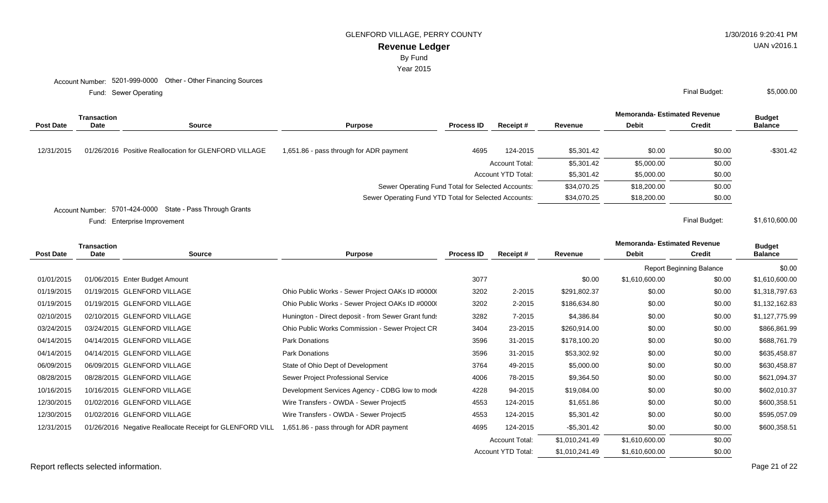GLENFORD VILLAGE, PERRY COUNTY **1/30/2016 9:20:41 PM** 

# **Revenue Ledger**

By Fund

Year 2015

Sewer Operating Final Budget: Fund: Sewer Operating

|            | Transaction |                                                       |                                                       |                                                   |                           |             | <b>Memoranda- Estimated Revenue</b> |               | <b>Budget</b>  |
|------------|-------------|-------------------------------------------------------|-------------------------------------------------------|---------------------------------------------------|---------------------------|-------------|-------------------------------------|---------------|----------------|
| Post Date  | Date        | <b>Source</b>                                         | <b>Purpose</b>                                        | <b>Process ID</b>                                 | Receipt#                  | Revenue     | <b>Debit</b>                        | <b>Credit</b> | <b>Balance</b> |
| 12/31/2015 |             | 01/26/2016 Positive Reallocation for GLENFORD VILLAGE | 1,651.86 - pass through for ADR payment               | 4695                                              | 124-2015                  | \$5,301.42  | \$0.00                              | \$0.00        | $-$301.42$     |
|            |             |                                                       |                                                       |                                                   | <b>Account Total:</b>     | \$5,301.42  | \$5,000.00                          | \$0.00        |                |
|            |             |                                                       |                                                       |                                                   | <b>Account YTD Total:</b> | \$5,301.42  | \$5,000.00                          | \$0.00        |                |
|            |             |                                                       |                                                       | Sewer Operating Fund Total for Selected Accounts: |                           | \$34,070.25 | \$18,200.00                         | \$0.00        |                |
|            |             |                                                       | Sewer Operating Fund YTD Total for Selected Accounts: |                                                   |                           | \$34,070.25 | \$18,200.00                         | \$0.00        |                |
|            |             | $F701.494.0000$ $C1010$ $D200$ $T1000$                |                                                       |                                                   |                           |             |                                     |               |                |

Account Number: 5701-424-0000 State - Pass Through Grants

Enterprise Improvement Final Budget: Fund:

|                  | <b>Transaction</b> |                                                          |                                                     |                   |                       | <b>Memoranda-Estimated Revenue</b> |                | <b>Budget</b>                   |                |
|------------------|--------------------|----------------------------------------------------------|-----------------------------------------------------|-------------------|-----------------------|------------------------------------|----------------|---------------------------------|----------------|
| <b>Post Date</b> | <b>Date</b>        | <b>Source</b>                                            | <b>Purpose</b>                                      | <b>Process ID</b> | Receipt#              | Revenue                            | <b>Debit</b>   | <b>Credit</b>                   | <b>Balance</b> |
|                  |                    |                                                          |                                                     |                   |                       |                                    |                | <b>Report Beginning Balance</b> | \$0.00         |
| 01/01/2015       |                    | 01/06/2015 Enter Budget Amount                           |                                                     | 3077              |                       | \$0.00                             | \$1,610,600.00 | \$0.00                          | \$1,610,600.00 |
| 01/19/2015       |                    | 01/19/2015 GLENFORD VILLAGE                              | Ohio Public Works - Sewer Project OAKs ID #0000     | 3202              | $2 - 2015$            | \$291,802.37                       | \$0.00         | \$0.00                          | \$1,318,797.63 |
| 01/19/2015       |                    | 01/19/2015 GLENFORD VILLAGE                              | Ohio Public Works - Sewer Project OAKs ID #0000     | 3202              | $2 - 2015$            | \$186,634.80                       | \$0.00         | \$0.00                          | \$1,132,162.83 |
| 02/10/2015       |                    | 02/10/2015 GLENFORD VILLAGE                              | Hunington - Direct deposit - from Sewer Grant fund: | 3282              | 7-2015                | \$4,386.84                         | \$0.00         | \$0.00                          | \$1,127,775.99 |
| 03/24/2015       |                    | 03/24/2015 GLENFORD VILLAGE                              | Ohio Public Works Commission - Sewer Project CR     | 3404              | 23-2015               | \$260,914.00                       | \$0.00         | \$0.00                          | \$866,861.99   |
| 04/14/2015       |                    | 04/14/2015 GLENFORD VILLAGE                              | <b>Park Donations</b>                               | 3596              | 31-2015               | \$178,100.20                       | \$0.00         | \$0.00                          | \$688,761.79   |
| 04/14/2015       |                    | 04/14/2015 GLENFORD VILLAGE                              | Park Donations                                      | 3596              | 31-2015               | \$53,302.92                        | \$0.00         | \$0.00                          | \$635,458.87   |
| 06/09/2015       |                    | 06/09/2015 GLENFORD VILLAGE                              | State of Ohio Dept of Development                   | 3764              | 49-2015               | \$5,000.00                         | \$0.00         | \$0.00                          | \$630,458.87   |
| 08/28/2015       |                    | 08/28/2015 GLENFORD VILLAGE                              | Sewer Project Professional Service                  | 4006              | 78-2015               | \$9,364.50                         | \$0.00         | \$0.00                          | \$621,094.37   |
| 10/16/2015       |                    | 10/16/2015 GLENFORD VILLAGE                              | Development Services Agency - CDBG low to mode      | 4228              | 94-2015               | \$19,084.00                        | \$0.00         | \$0.00                          | \$602,010.37   |
| 12/30/2015       |                    | 01/02/2016 GLENFORD VILLAGE                              | Wire Transfers - OWDA - Sewer Project5              | 4553              | 124-2015              | \$1,651.86                         | \$0.00         | \$0.00                          | \$600,358.51   |
| 12/30/2015       |                    | 01/02/2016 GLENFORD VILLAGE                              | Wire Transfers - OWDA - Sewer Project5              | 4553              | 124-2015              | \$5,301.42                         | \$0.00         | \$0.00                          | \$595,057.09   |
| 12/31/2015       |                    | 01/26/2016 Negative Reallocate Receipt for GLENFORD VILL | 1,651.86 - pass through for ADR payment             | 4695              | 124-2015              | $-$ \$5,301.42                     | \$0.00         | \$0.00                          | \$600,358.51   |
|                  |                    |                                                          |                                                     |                   | <b>Account Total:</b> | \$1,010,241.49                     | \$1,610,600.00 | \$0.00                          |                |
|                  |                    |                                                          |                                                     |                   | Account YTD Total:    | \$1,010,241.49                     | \$1,610,600.00 | \$0.00                          |                |

UAN v2016.1

\$1,610,600.00

\$5,000.00